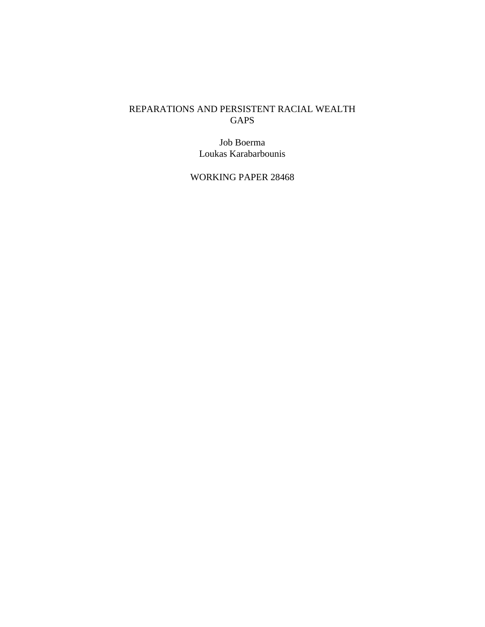## REPARATIONS AND PERSISTENT RACIAL WEALTH GAPS

Job Boerma Loukas Karabarbounis

WORKING PAPER 28468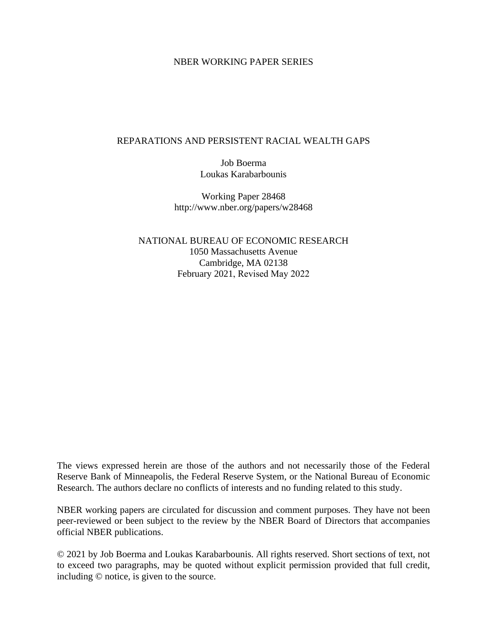#### NBER WORKING PAPER SERIES

### REPARATIONS AND PERSISTENT RACIAL WEALTH GAPS

Job Boerma Loukas Karabarbounis

Working Paper 28468 http://www.nber.org/papers/w28468

NATIONAL BUREAU OF ECONOMIC RESEARCH 1050 Massachusetts Avenue Cambridge, MA 02138 February 2021, Revised May 2022

The views expressed herein are those of the authors and not necessarily those of the Federal Reserve Bank of Minneapolis, the Federal Reserve System, or the National Bureau of Economic Research. The authors declare no conflicts of interests and no funding related to this study.

NBER working papers are circulated for discussion and comment purposes. They have not been peer-reviewed or been subject to the review by the NBER Board of Directors that accompanies official NBER publications.

© 2021 by Job Boerma and Loukas Karabarbounis. All rights reserved. Short sections of text, not to exceed two paragraphs, may be quoted without explicit permission provided that full credit, including © notice, is given to the source.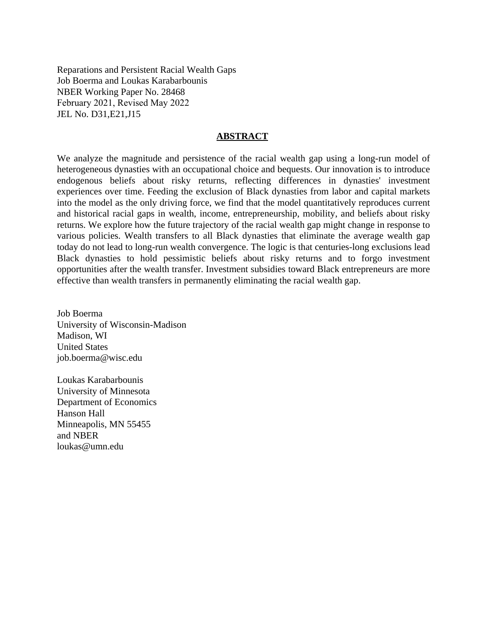Reparations and Persistent Racial Wealth Gaps Job Boerma and Loukas Karabarbounis NBER Working Paper No. 28468 February 2021, Revised May 2022 JEL No. D31,E21,J15

#### **ABSTRACT**

We analyze the magnitude and persistence of the racial wealth gap using a long-run model of heterogeneous dynasties with an occupational choice and bequests. Our innovation is to introduce endogenous beliefs about risky returns, reflecting differences in dynasties' investment experiences over time. Feeding the exclusion of Black dynasties from labor and capital markets into the model as the only driving force, we find that the model quantitatively reproduces current and historical racial gaps in wealth, income, entrepreneurship, mobility, and beliefs about risky returns. We explore how the future trajectory of the racial wealth gap might change in response to various policies. Wealth transfers to all Black dynasties that eliminate the average wealth gap today do not lead to long-run wealth convergence. The logic is that centuries-long exclusions lead Black dynasties to hold pessimistic beliefs about risky returns and to forgo investment opportunities after the wealth transfer. Investment subsidies toward Black entrepreneurs are more effective than wealth transfers in permanently eliminating the racial wealth gap.

Job Boerma University of Wisconsin-Madison Madison, WI United States job.boerma@wisc.edu

Loukas Karabarbounis University of Minnesota Department of Economics Hanson Hall Minneapolis, MN 55455 and NBER loukas@umn.edu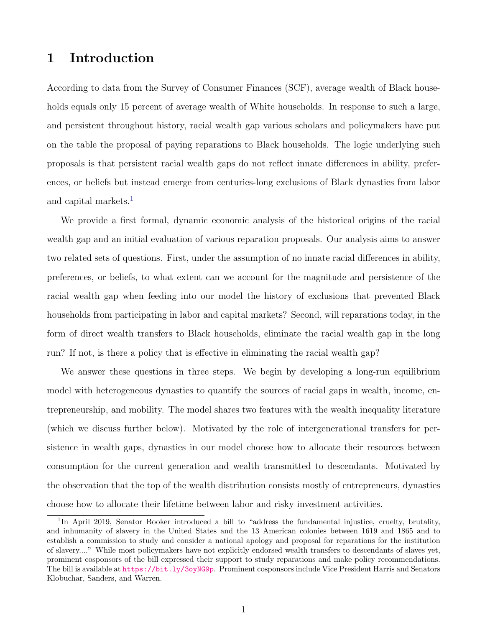# 1 Introduction

According to data from the Survey of Consumer Finances (SCF), average wealth of Black households equals only 15 percent of average wealth of White households. In response to such a large, and persistent throughout history, racial wealth gap various scholars and policymakers have put on the table the proposal of paying reparations to Black households. The logic underlying such proposals is that persistent racial wealth gaps do not reflect innate differences in ability, preferences, or beliefs but instead emerge from centuries-long exclusions of Black dynasties from labor and capital markets.<sup>[1](#page-3-0)</sup>

We provide a first formal, dynamic economic analysis of the historical origins of the racial wealth gap and an initial evaluation of various reparation proposals. Our analysis aims to answer two related sets of questions. First, under the assumption of no innate racial differences in ability, preferences, or beliefs, to what extent can we account for the magnitude and persistence of the racial wealth gap when feeding into our model the history of exclusions that prevented Black households from participating in labor and capital markets? Second, will reparations today, in the form of direct wealth transfers to Black households, eliminate the racial wealth gap in the long run? If not, is there a policy that is effective in eliminating the racial wealth gap?

We answer these questions in three steps. We begin by developing a long-run equilibrium model with heterogeneous dynasties to quantify the sources of racial gaps in wealth, income, entrepreneurship, and mobility. The model shares two features with the wealth inequality literature (which we discuss further below). Motivated by the role of intergenerational transfers for persistence in wealth gaps, dynasties in our model choose how to allocate their resources between consumption for the current generation and wealth transmitted to descendants. Motivated by the observation that the top of the wealth distribution consists mostly of entrepreneurs, dynasties choose how to allocate their lifetime between labor and risky investment activities.

<span id="page-3-0"></span><sup>&</sup>lt;sup>1</sup>In April 2019, Senator Booker introduced a bill to "address the fundamental injustice, cruelty, brutality, and inhumanity of slavery in the United States and the 13 American colonies between 1619 and 1865 and to establish a commission to study and consider a national apology and proposal for reparations for the institution of slavery...." While most policymakers have not explicitly endorsed wealth transfers to descendants of slaves yet, prominent cosponsors of the bill expressed their support to study reparations and make policy recommendations. The bill is available at <https://bit.ly/3oyNG9p>. Prominent cosponsors include Vice President Harris and Senators Klobuchar, Sanders, and Warren.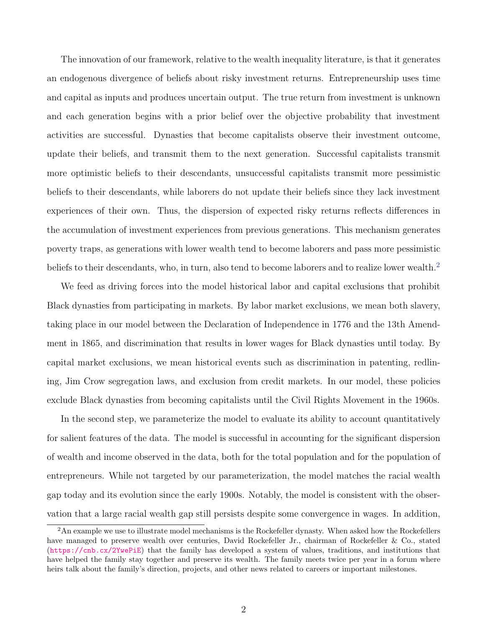The innovation of our framework, relative to the wealth inequality literature, is that it generates an endogenous divergence of beliefs about risky investment returns. Entrepreneurship uses time and capital as inputs and produces uncertain output. The true return from investment is unknown and each generation begins with a prior belief over the objective probability that investment activities are successful. Dynasties that become capitalists observe their investment outcome, update their beliefs, and transmit them to the next generation. Successful capitalists transmit more optimistic beliefs to their descendants, unsuccessful capitalists transmit more pessimistic beliefs to their descendants, while laborers do not update their beliefs since they lack investment experiences of their own. Thus, the dispersion of expected risky returns reflects differences in the accumulation of investment experiences from previous generations. This mechanism generates poverty traps, as generations with lower wealth tend to become laborers and pass more pessimistic beliefs to their descendants, who, in turn, also tend to become laborers and to realize lower wealth.<sup>[2](#page-4-0)</sup>

We feed as driving forces into the model historical labor and capital exclusions that prohibit Black dynasties from participating in markets. By labor market exclusions, we mean both slavery, taking place in our model between the Declaration of Independence in 1776 and the 13th Amendment in 1865, and discrimination that results in lower wages for Black dynasties until today. By capital market exclusions, we mean historical events such as discrimination in patenting, redlining, Jim Crow segregation laws, and exclusion from credit markets. In our model, these policies exclude Black dynasties from becoming capitalists until the Civil Rights Movement in the 1960s.

In the second step, we parameterize the model to evaluate its ability to account quantitatively for salient features of the data. The model is successful in accounting for the significant dispersion of wealth and income observed in the data, both for the total population and for the population of entrepreneurs. While not targeted by our parameterization, the model matches the racial wealth gap today and its evolution since the early 1900s. Notably, the model is consistent with the observation that a large racial wealth gap still persists despite some convergence in wages. In addition,

<span id="page-4-0"></span><sup>&</sup>lt;sup>2</sup>An example we use to illustrate model mechanisms is the Rockefeller dynasty. When asked how the Rockefellers have managed to preserve wealth over centuries, David Rockefeller Jr., chairman of Rockefeller & Co., stated (<https://cnb.cx/2YwePiE>) that the family has developed a system of values, traditions, and institutions that have helped the family stay together and preserve its wealth. The family meets twice per year in a forum where heirs talk about the family's direction, projects, and other news related to careers or important milestones.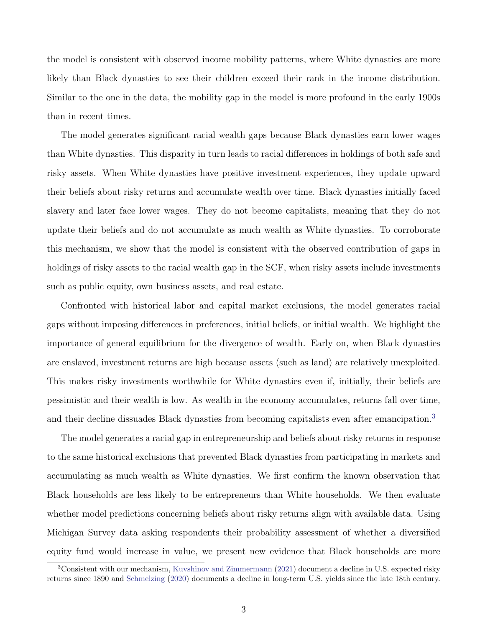the model is consistent with observed income mobility patterns, where White dynasties are more likely than Black dynasties to see their children exceed their rank in the income distribution. Similar to the one in the data, the mobility gap in the model is more profound in the early 1900s than in recent times.

The model generates significant racial wealth gaps because Black dynasties earn lower wages than White dynasties. This disparity in turn leads to racial differences in holdings of both safe and risky assets. When White dynasties have positive investment experiences, they update upward their beliefs about risky returns and accumulate wealth over time. Black dynasties initially faced slavery and later face lower wages. They do not become capitalists, meaning that they do not update their beliefs and do not accumulate as much wealth as White dynasties. To corroborate this mechanism, we show that the model is consistent with the observed contribution of gaps in holdings of risky assets to the racial wealth gap in the SCF, when risky assets include investments such as public equity, own business assets, and real estate.

Confronted with historical labor and capital market exclusions, the model generates racial gaps without imposing differences in preferences, initial beliefs, or initial wealth. We highlight the importance of general equilibrium for the divergence of wealth. Early on, when Black dynasties are enslaved, investment returns are high because assets (such as land) are relatively unexploited. This makes risky investments worthwhile for White dynasties even if, initially, their beliefs are pessimistic and their wealth is low. As wealth in the economy accumulates, returns fall over time, and their decline dissuades Black dynasties from becoming capitalists even after emancipation.<sup>[3](#page-5-0)</sup>

The model generates a racial gap in entrepreneurship and beliefs about risky returns in response to the same historical exclusions that prevented Black dynasties from participating in markets and accumulating as much wealth as White dynasties. We first confirm the known observation that Black households are less likely to be entrepreneurs than White households. We then evaluate whether model predictions concerning beliefs about risky returns align with available data. Using Michigan Survey data asking respondents their probability assessment of whether a diversified equity fund would increase in value, we present new evidence that Black households are more

<span id="page-5-0"></span><sup>3</sup>Consistent with our mechanism, [Kuvshinov and Zimmermann](#page-51-0) [\(2021\)](#page-51-0) document a decline in U.S. expected risky returns since 1890 and [Schmelzing](#page-52-0) [\(2020\)](#page-52-0) documents a decline in long-term U.S. yields since the late 18th century.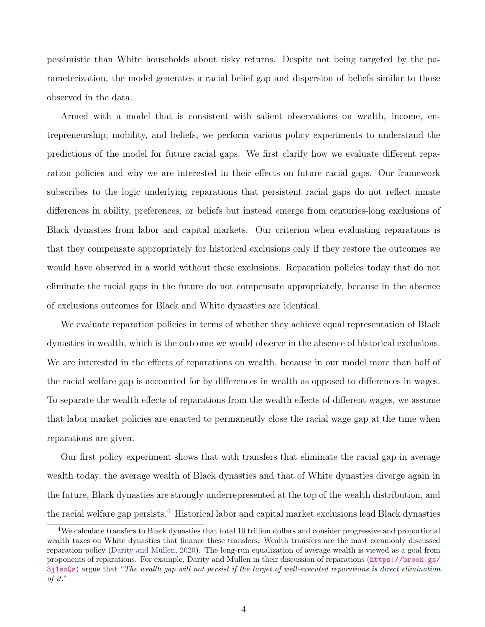pessimistic than White households about risky returns. Despite not being targeted by the parameterization, the model generates a racial belief gap and dispersion of beliefs similar to those observed in the data.

Armed with a model that is consistent with salient observations on wealth, income, entrepreneurship, mobility, and beliefs, we perform various policy experiments to understand the predictions of the model for future racial gaps. We first clarify how we evaluate different reparation policies and why we are interested in their effects on future racial gaps. Our framework subscribes to the logic underlying reparations that persistent racial gaps do not reflect innate differences in ability, preferences, or beliefs but instead emerge from centuries-long exclusions of Black dynasties from labor and capital markets. Our criterion when evaluating reparations is that they compensate appropriately for historical exclusions only if they restore the outcomes we would have observed in a world without these exclusions. Reparation policies today that do not eliminate the racial gaps in the future do not compensate appropriately, because in the absence of exclusions outcomes for Black and White dynasties are identical.

We evaluate reparation policies in terms of whether they achieve equal representation of Black dynasties in wealth, which is the outcome we would observe in the absence of historical exclusions. We are interested in the effects of reparations on wealth, because in our model more than half of the racial welfare gap is accounted for by differences in wealth as opposed to differences in wages. To separate the wealth effects of reparations from the wealth effects of different wages, we assume that labor market policies are enacted to permanently close the racial wage gap at the time when reparations are given.

Our first policy experiment shows that with transfers that eliminate the racial gap in average wealth today, the average wealth of Black dynasties and that of White dynasties diverge again in the future, Black dynasties are strongly underrepresented at the top of the wealth distribution, and the racial welfare gap persists.<sup>[4](#page-6-0)</sup> Historical labor and capital market exclusions lead Black dynasties

<span id="page-6-0"></span><sup>&</sup>lt;sup>4</sup>We calculate transfers to Black dynasties that total 10 trillion dollars and consider progressive and proportional wealth taxes on White dynasties that finance these transfers. Wealth transfers are the most commonly discussed reparation policy [\(Darity and Mullen,](#page-49-0) [2020\)](#page-49-0). The long-run equalization of average wealth is viewed as a goal from proponents of reparations. For example, Darity and Mullen in their discussion of reparations ([https://brook.gs/](https://brook.gs/3j1soQs) [3j1soQs](https://brook.gs/3j1soQs)) argue that "The wealth gap will not persist if the target of well-executed reparations is direct elimination of it."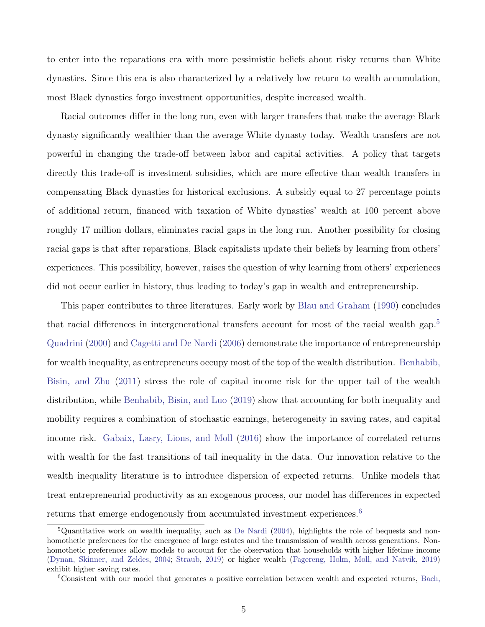to enter into the reparations era with more pessimistic beliefs about risky returns than White dynasties. Since this era is also characterized by a relatively low return to wealth accumulation, most Black dynasties forgo investment opportunities, despite increased wealth.

Racial outcomes differ in the long run, even with larger transfers that make the average Black dynasty significantly wealthier than the average White dynasty today. Wealth transfers are not powerful in changing the trade-off between labor and capital activities. A policy that targets directly this trade-off is investment subsidies, which are more effective than wealth transfers in compensating Black dynasties for historical exclusions. A subsidy equal to 27 percentage points of additional return, financed with taxation of White dynasties' wealth at 100 percent above roughly 17 million dollars, eliminates racial gaps in the long run. Another possibility for closing racial gaps is that after reparations, Black capitalists update their beliefs by learning from others' experiences. This possibility, however, raises the question of why learning from others' experiences did not occur earlier in history, thus leading to today's gap in wealth and entrepreneurship.

This paper contributes to three literatures. Early work by [Blau and Graham](#page-49-1) [\(1990\)](#page-49-1) concludes that racial differences in intergenerational transfers account for most of the racial wealth gap.[5](#page-7-0) [Quadrini](#page-52-1) [\(2000\)](#page-52-1) and [Cagetti and De Nardi](#page-49-2) [\(2006\)](#page-49-2) demonstrate the importance of entrepreneurship for wealth inequality, as entrepreneurs occupy most of the top of the wealth distribution. [Benhabib,](#page-48-0) [Bisin, and Zhu](#page-48-0) [\(2011\)](#page-48-0) stress the role of capital income risk for the upper tail of the wealth distribution, while [Benhabib, Bisin, and Luo](#page-48-1) [\(2019\)](#page-48-1) show that accounting for both inequality and mobility requires a combination of stochastic earnings, heterogeneity in saving rates, and capital income risk. [Gabaix, Lasry, Lions, and Moll](#page-50-0) [\(2016\)](#page-50-0) show the importance of correlated returns with wealth for the fast transitions of tail inequality in the data. Our innovation relative to the wealth inequality literature is to introduce dispersion of expected returns. Unlike models that treat entrepreneurial productivity as an exogenous process, our model has differences in expected returns that emerge endogenously from accumulated investment experiences.<sup>[6](#page-7-1)</sup>

<span id="page-7-0"></span><sup>&</sup>lt;sup>5</sup>Quantitative work on wealth inequality, such as [De Nardi](#page-49-3) [\(2004\)](#page-49-3), highlights the role of bequests and nonhomothetic preferences for the emergence of large estates and the transmission of wealth across generations. Nonhomothetic preferences allow models to account for the observation that households with higher lifetime income [\(Dynan, Skinner, and Zeldes,](#page-50-1) [2004;](#page-50-1) [Straub,](#page-52-2) [2019\)](#page-52-2) or higher wealth [\(Fagereng, Holm, Moll, and Natvik,](#page-50-2) [2019\)](#page-50-2) exhibit higher saving rates.

<span id="page-7-1"></span><sup>6</sup>Consistent with our model that generates a positive correlation between wealth and expected returns, [Bach,](#page-48-2)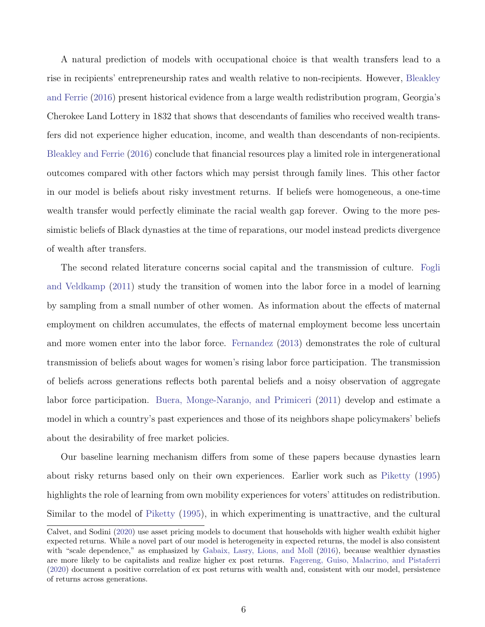[A natural prediction of models with occupational choice is that wealth transfers lead to a](#page-48-2) [rise in recipients' entrepreneurship rates and wealth relative to non-recipients. However,](#page-48-2) [Bleakley](#page-49-4) [and Ferrie](#page-49-4) [\(2016\) present historical evidence from a large wealth redistribution program, Georgia's](#page-48-2) [Cherokee Land Lottery in 1832 that shows that descendants of families who received wealth trans](#page-48-2)[fers did not experience higher education, income, and wealth than descendants of non-recipients.](#page-48-2) [Bleakley and Ferrie](#page-49-4) [\(2016\) conclude that financial resources play a limited role in intergenerational](#page-48-2) [outcomes compared with other factors which may persist through family lines. This other factor](#page-48-2) [in our model is beliefs about risky investment returns. If beliefs were homogeneous, a one-time](#page-48-2) [wealth transfer would perfectly eliminate the racial wealth gap forever. Owing to the more pes](#page-48-2)[simistic beliefs of Black dynasties at the time of reparations, our model instead predicts divergence](#page-48-2) [of wealth after transfers.](#page-48-2)

[The second related literature concerns social capital and the transmission of culture.](#page-48-2) [Fogli](#page-50-3) [and Veldkamp](#page-50-3) [\(2011\) study the transition of women into the labor force in a model of learning](#page-48-2) [by sampling from a small number of other women. As information about the effects of maternal](#page-48-2) [employment on children accumulates, the effects of maternal employment become less uncertain](#page-48-2) [and more women enter into the labor force.](#page-48-2) [Fernandez](#page-50-4) [\(2013\)](#page-50-4) demonstrates the role of cultural [transmission of beliefs about wages for women's rising labor force participation. The transmission](#page-48-2) [of beliefs across generations reflects both parental beliefs and a noisy observation of aggregate](#page-48-2) labor force participation. [Buera, Monge-Naranjo, and Primiceri](#page-48-2) [\(2011\)](#page-49-5) develop and estimate a [model in which a country's past experiences and those of its neighbors shape policymakers' beliefs](#page-48-2) [about the desirability of free market policies.](#page-48-2)

[Our baseline learning mechanism differs from some of these papers because dynasties learn](#page-48-2) [about risky returns based only on their own experiences. Earlier work such as](#page-48-2) [Piketty](#page-51-1) [\(1995\)](#page-51-1) [highlights the role of learning from own mobility experiences for voters' attitudes on redistribution.](#page-48-2) Similar to the model of [Piketty](#page-51-1) [\(1995\), in which experimenting is unattractive, and the cultural](#page-48-2)

[Calvet, and Sodini](#page-48-2) [\(2020\)](#page-48-2) use asset pricing models to document that households with higher wealth exhibit higher expected returns. While a novel part of our model is heterogeneity in expected returns, the model is also consistent with "scale dependence," as emphasized by [Gabaix, Lasry, Lions, and Moll](#page-50-0) [\(2016\)](#page-50-0), because wealthier dynasties are more likely to be capitalists and realize higher ex post returns. [Fagereng, Guiso, Malacrino, and Pistaferri](#page-50-5) [\(2020\)](#page-50-5) document a positive correlation of ex post returns with wealth and, consistent with our model, persistence of returns across generations.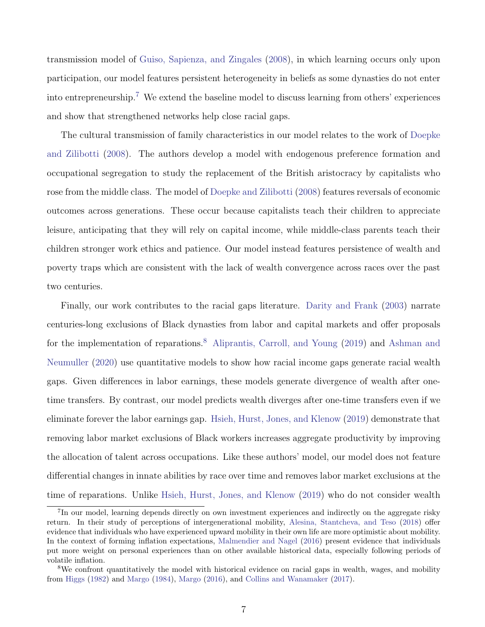transmission model of [Guiso, Sapienza, and Zingales](#page-51-2) [\(2008\)](#page-51-2), in which learning occurs only upon participation, our model features persistent heterogeneity in beliefs as some dynasties do not enter into entrepreneurship.[7](#page-9-0) We extend the baseline model to discuss learning from others' experiences and show that strengthened networks help close racial gaps.

The cultural transmission of family characteristics in our model relates to the work of [Doepke](#page-50-6) [and Zilibotti](#page-50-6) [\(2008\)](#page-50-6). The authors develop a model with endogenous preference formation and occupational segregation to study the replacement of the British aristocracy by capitalists who rose from the middle class. The model of [Doepke and Zilibotti](#page-50-6) [\(2008\)](#page-50-6) features reversals of economic outcomes across generations. These occur because capitalists teach their children to appreciate leisure, anticipating that they will rely on capital income, while middle-class parents teach their children stronger work ethics and patience. Our model instead features persistence of wealth and poverty traps which are consistent with the lack of wealth convergence across races over the past two centuries.

Finally, our work contributes to the racial gaps literature. [Darity and Frank](#page-49-6) [\(2003\)](#page-49-6) narrate centuries-long exclusions of Black dynasties from labor and capital markets and offer proposals for the implementation of reparations.<sup>[8](#page-9-1)</sup> [Aliprantis, Carroll, and Young](#page-48-3) [\(2019\)](#page-48-3) and [Ashman and](#page-48-4) [Neumuller](#page-48-4) [\(2020\)](#page-48-4) use quantitative models to show how racial income gaps generate racial wealth gaps. Given differences in labor earnings, these models generate divergence of wealth after onetime transfers. By contrast, our model predicts wealth diverges after one-time transfers even if we eliminate forever the labor earnings gap. [Hsieh, Hurst, Jones, and Klenow](#page-51-3) [\(2019\)](#page-51-3) demonstrate that removing labor market exclusions of Black workers increases aggregate productivity by improving the allocation of talent across occupations. Like these authors' model, our model does not feature differential changes in innate abilities by race over time and removes labor market exclusions at the time of reparations. Unlike [Hsieh, Hurst, Jones, and Klenow](#page-51-3) [\(2019\)](#page-51-3) who do not consider wealth

<span id="page-9-0"></span><sup>&</sup>lt;sup>7</sup>In our model, learning depends directly on own investment experiences and indirectly on the aggregate risky return. In their study of perceptions of intergenerational mobility, [Alesina, Stantcheva, and Teso](#page-48-5) [\(2018\)](#page-48-5) offer evidence that individuals who have experienced upward mobility in their own life are more optimistic about mobility. In the context of forming inflation expectations, [Malmendier and Nagel](#page-51-4) [\(2016\)](#page-51-4) present evidence that individuals put more weight on personal experiences than on other available historical data, especially following periods of volatile inflation.

<span id="page-9-1"></span><sup>&</sup>lt;sup>8</sup>We confront quantitatively the model with historical evidence on racial gaps in wealth, wages, and mobility from [Higgs](#page-51-5) [\(1982\)](#page-51-5) and [Margo](#page-51-6) [\(1984\)](#page-51-6), [Margo](#page-51-7) [\(2016\)](#page-51-7), and [Collins and Wanamaker](#page-49-7) [\(2017\)](#page-49-7).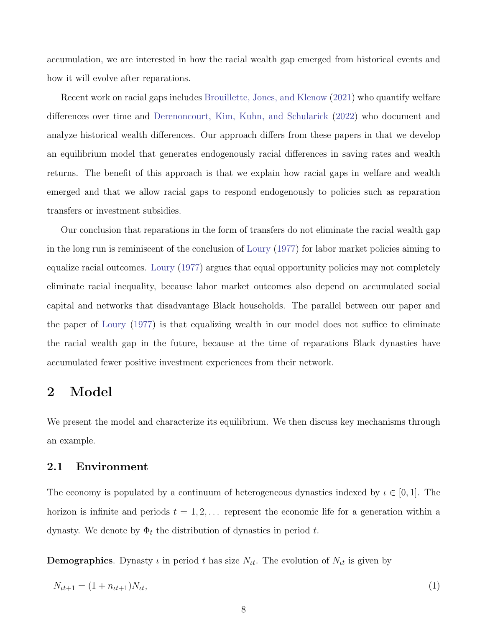accumulation, we are interested in how the racial wealth gap emerged from historical events and how it will evolve after reparations.

Recent work on racial gaps includes [Brouillette, Jones, and Klenow](#page-49-8) [\(2021\)](#page-49-8) who quantify welfare differences over time and [Derenoncourt, Kim, Kuhn, and Schularick](#page-50-7) [\(2022\)](#page-50-7) who document and analyze historical wealth differences. Our approach differs from these papers in that we develop an equilibrium model that generates endogenously racial differences in saving rates and wealth returns. The benefit of this approach is that we explain how racial gaps in welfare and wealth emerged and that we allow racial gaps to respond endogenously to policies such as reparation transfers or investment subsidies.

Our conclusion that reparations in the form of transfers do not eliminate the racial wealth gap in the long run is reminiscent of the conclusion of [Loury](#page-51-8) [\(1977\)](#page-51-8) for labor market policies aiming to equalize racial outcomes. [Loury](#page-51-8) [\(1977\)](#page-51-8) argues that equal opportunity policies may not completely eliminate racial inequality, because labor market outcomes also depend on accumulated social capital and networks that disadvantage Black households. The parallel between our paper and the paper of [Loury](#page-51-8) [\(1977\)](#page-51-8) is that equalizing wealth in our model does not suffice to eliminate the racial wealth gap in the future, because at the time of reparations Black dynasties have accumulated fewer positive investment experiences from their network.

# 2 Model

We present the model and characterize its equilibrium. We then discuss key mechanisms through an example.

#### 2.1 Environment

The economy is populated by a continuum of heterogeneous dynasties indexed by  $\iota \in [0,1]$ . The horizon is infinite and periods  $t = 1, 2, \ldots$  represent the economic life for a generation within a dynasty. We denote by  $\Phi_t$  the distribution of dynasties in period t.

**Demographics**. Dynasty  $\iota$  in period  $t$  has size  $N_{tt}$ . The evolution of  $N_{tt}$  is given by

$$
N_{tt+1} = (1 + n_{tt+1})N_{tt},\tag{1}
$$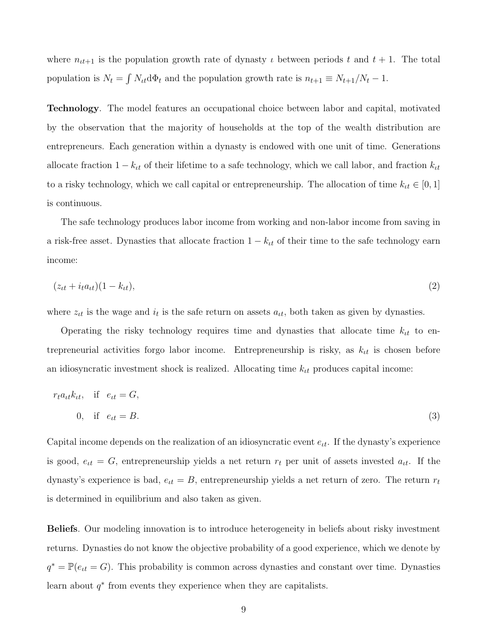where  $n_{t+1}$  is the population growth rate of dynasty  $\iota$  between periods t and  $t + 1$ . The total population is  $N_t = \int N_{tt} d\Phi_t$  and the population growth rate is  $n_{t+1} \equiv N_{t+1}/N_t - 1$ .

Technology. The model features an occupational choice between labor and capital, motivated by the observation that the majority of households at the top of the wealth distribution are entrepreneurs. Each generation within a dynasty is endowed with one unit of time. Generations allocate fraction  $1 - k_{tt}$  of their lifetime to a safe technology, which we call labor, and fraction  $k_{tt}$ to a risky technology, which we call capital or entrepreneurship. The allocation of time  $k_{tt} \in [0, 1]$ is continuous.

The safe technology produces labor income from working and non-labor income from saving in a risk-free asset. Dynasties that allocate fraction  $1 - k_{tt}$  of their time to the safe technology earn income:

$$
(z_{tt} + i_t a_{tt})(1 - k_{tt}), \qquad (2)
$$

where  $z_{tt}$  is the wage and  $i_t$  is the safe return on assets  $a_{tt}$ , both taken as given by dynasties.

Operating the risky technology requires time and dynasties that allocate time  $k_{tt}$  to entrepreneurial activities forgo labor income. Entrepreneurship is risky, as  $k_{tt}$  is chosen before an idiosyncratic investment shock is realized. Allocating time  $k_{tt}$  produces capital income:

$$
r_t a_{tt} k_{tt}, \quad \text{if} \quad e_{tt} = G,
$$
  
0, if  $e_{tt} = B.$  (3)

Capital income depends on the realization of an idiosyncratic event  $e_{tt}$ . If the dynasty's experience is good,  $e_{tt} = G$ , entrepreneurship yields a net return  $r_t$  per unit of assets invested  $a_{tt}$ . If the dynasty's experience is bad,  $e_{tt} = B$ , entrepreneurship yields a net return of zero. The return  $r_t$ is determined in equilibrium and also taken as given.

Beliefs. Our modeling innovation is to introduce heterogeneity in beliefs about risky investment returns. Dynasties do not know the objective probability of a good experience, which we denote by  $q^* = \mathbb{P}(e_{tt} = G)$ . This probability is common across dynasties and constant over time. Dynasties learn about  $q^*$  from events they experience when they are capitalists.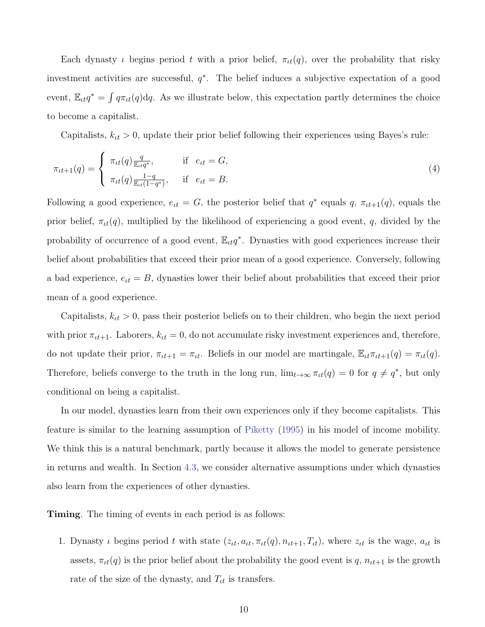Each dynasty  $\iota$  begins period  $t$  with a prior belief,  $\pi_{\iota}(q)$ , over the probability that risky investment activities are successful,  $q^*$ . The belief induces a subjective expectation of a good event,  $\mathbb{E}_{tt}q^* = \int q\pi_{tt}(q) dq$ . As we illustrate below, this expectation partly determines the choice to become a capitalist.

<span id="page-12-0"></span>Capitalists,  $k_{tt} > 0$ , update their prior belief following their experiences using Bayes's rule:

$$
\pi_{\iota t+1}(q) = \begin{cases} \pi_{\iota t}(q) \frac{q}{\mathbb{E}_{\iota t} q^*}, & \text{if } e_{\iota t} = G, \\ \pi_{\iota t}(q) \frac{1-q}{\mathbb{E}_{\iota t}(1-q^*)}, & \text{if } e_{\iota t} = B. \end{cases}
$$
\n(4)

Following a good experience,  $e_{tt} = G$ , the posterior belief that  $q^*$  equals  $q$ ,  $\pi_{tt+1}(q)$ , equals the prior belief,  $\pi_{tt}(q)$ , multiplied by the likelihood of experiencing a good event, q, divided by the probability of occurrence of a good event,  $\mathbb{E}_{tt}q^*$ . Dynasties with good experiences increase their belief about probabilities that exceed their prior mean of a good experience. Conversely, following a bad experience,  $e_{tt} = B$ , dynasties lower their belief about probabilities that exceed their prior mean of a good experience.

Capitalists,  $k_{tt} > 0$ , pass their posterior beliefs on to their children, who begin the next period with prior  $\pi_{\iota t+1}$ . Laborers,  $k_{\iota t} = 0$ , do not accumulate risky investment experiences and, therefore, do not update their prior,  $\pi_{tt+1} = \pi_{tt}$ . Beliefs in our model are martingale,  $\mathbb{E}_{tt} \pi_{tt+1}(q) = \pi_{tt}(q)$ . Therefore, beliefs converge to the truth in the long run,  $\lim_{t\to\infty} \pi_{tt}(q) = 0$  for  $q \neq q^*$ , but only conditional on being a capitalist.

In our model, dynasties learn from their own experiences only if they become capitalists. This feature is similar to the learning assumption of [Piketty](#page-51-1) [\(1995\)](#page-51-1) in his model of income mobility. We think this is a natural benchmark, partly because it allows the model to generate persistence in returns and wealth. In Section [4.3,](#page-45-0) we consider alternative assumptions under which dynasties also learn from the experiences of other dynasties.

Timing. The timing of events in each period is as follows:

1. Dynasty  $\iota$  begins period  $t$  with state  $(z_{tt}, a_{tt}, \pi_{tt}(q), n_{tt+1}, T_{tt})$ , where  $z_{tt}$  is the wage,  $a_{tt}$  is assets,  $\pi_{tt}(q)$  is the prior belief about the probability the good event is q,  $n_{tt+1}$  is the growth rate of the size of the dynasty, and  $T_{tt}$  is transfers.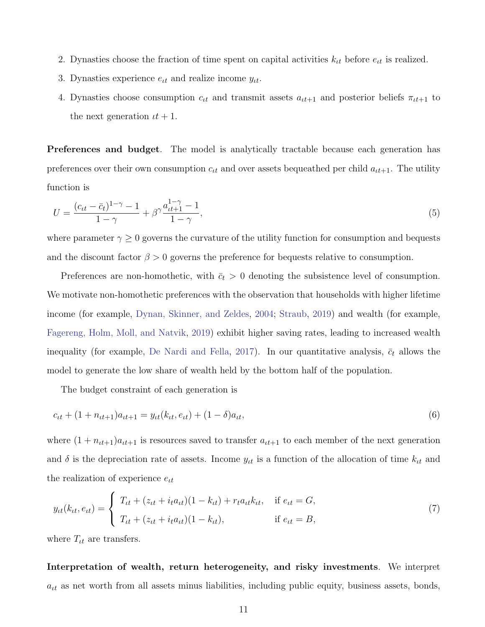- 2. Dynasties choose the fraction of time spent on capital activities  $k_{tt}$  before  $e_{tt}$  is realized.
- 3. Dynasties experience  $e_{tt}$  and realize income  $y_{tt}$ .
- 4. Dynasties choose consumption  $c_{tt}$  and transmit assets  $a_{tt+1}$  and posterior beliefs  $\pi_{tt+1}$  to the next generation  $\iota t + 1$ .

Preferences and budget. The model is analytically tractable because each generation has preferences over their own consumption  $c_{tt}$  and over assets bequeathed per child  $a_{tt+1}$ . The utility function is

<span id="page-13-0"></span>
$$
U = \frac{(c_{tt} - \bar{c}_t)^{1-\gamma} - 1}{1-\gamma} + \beta^{\gamma} \frac{a_{tt+1}^{1-\gamma} - 1}{1-\gamma},
$$
\n(5)

where parameter  $\gamma \geq 0$  governs the curvature of the utility function for consumption and bequests and the discount factor  $\beta > 0$  governs the preference for bequests relative to consumption.

Preferences are non-homothetic, with  $\bar{c}_t > 0$  denoting the subsistence level of consumption. We motivate non-homothetic preferences with the observation that households with higher lifetime income (for example, [Dynan, Skinner, and Zeldes,](#page-50-1) [2004;](#page-50-1) [Straub,](#page-52-2) [2019\)](#page-52-2) and wealth (for example, [Fagereng, Holm, Moll, and Natvik,](#page-50-2) [2019\)](#page-50-2) exhibit higher saving rates, leading to increased wealth inequality (for example, [De Nardi and Fella,](#page-50-8) [2017\)](#page-50-8). In our quantitative analysis,  $\bar{c}_t$  allows the model to generate the low share of wealth held by the bottom half of the population.

<span id="page-13-1"></span>The budget constraint of each generation is

$$
c_{tt} + (1 + n_{tt+1})a_{tt+1} = y_{tt}(k_{tt}, e_{tt}) + (1 - \delta)a_{tt},
$$
\n(6)

where  $(1 + n<sub>ut+1</sub>)a<sub>ut+1</sub>$  is resources saved to transfer  $a<sub>ut+1</sub>$  to each member of the next generation and  $\delta$  is the depreciation rate of assets. Income  $y_{tt}$  is a function of the allocation of time  $k_{tt}$  and the realization of experience  $e_{\iota t}$ 

$$
y_{tt}(k_{tt}, e_{tt}) = \begin{cases} T_{tt} + (z_{tt} + i_t a_{tt})(1 - k_{tt}) + r_t a_{tt} k_{tt}, & \text{if } e_{tt} = G, \\ T_{tt} + (z_{tt} + i_t a_{tt})(1 - k_{tt}), & \text{if } e_{tt} = B, \end{cases}
$$
(7)

where  $T_{tt}$  are transfers.

Interpretation of wealth, return heterogeneity, and risky investments. We interpret  $a_{it}$  as net worth from all assets minus liabilities, including public equity, business assets, bonds,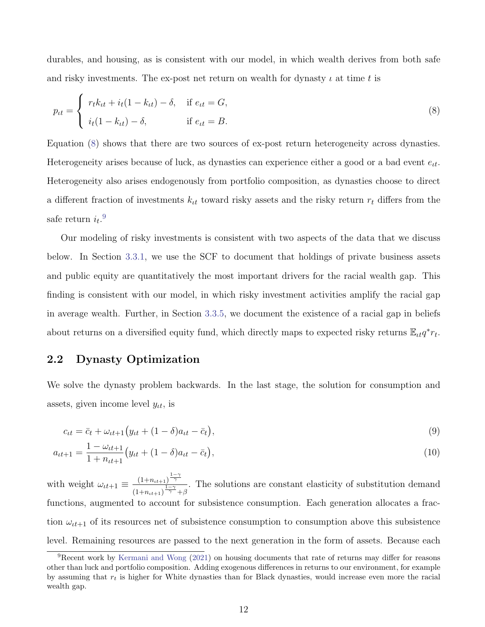durables, and housing, as is consistent with our model, in which wealth derives from both safe and risky investments. The ex-post net return on wealth for dynasty  $\iota$  at time t is

<span id="page-14-0"></span>
$$
p_{tt} = \begin{cases} r_t k_{tt} + i_t (1 - k_{tt}) - \delta, & \text{if } e_{tt} = G, \\ i_t (1 - k_{tt}) - \delta, & \text{if } e_{tt} = B. \end{cases}
$$
 (8)

Equation [\(8\)](#page-14-0) shows that there are two sources of ex-post return heterogeneity across dynasties. Heterogeneity arises because of luck, as dynasties can experience either a good or a bad event  $e_{tt}$ . Heterogeneity also arises endogenously from portfolio composition, as dynasties choose to direct a different fraction of investments  $k<sub>tt</sub>$  toward risky assets and the risky return  $r<sub>t</sub>$  differs from the safe return  $i_t$ .<sup>[9](#page-14-1)</sup>

Our modeling of risky investments is consistent with two aspects of the data that we discuss below. In Section [3.3.1,](#page-26-0) we use the SCF to document that holdings of private business assets and public equity are quantitatively the most important drivers for the racial wealth gap. This finding is consistent with our model, in which risky investment activities amplify the racial gap in average wealth. Further, in Section [3.3.5,](#page-32-0) we document the existence of a racial gap in beliefs about returns on a diversified equity fund, which directly maps to expected risky returns  $\mathbb{E}_{tt}q^*r_t$ .

## <span id="page-14-2"></span>2.2 Dynasty Optimization

We solve the dynasty problem backwards. In the last stage, the solution for consumption and assets, given income level  $y_{tt}$ , is

$$
c_{tt} = \bar{c}_t + \omega_{tt+1} \left( y_{tt} + (1 - \delta) a_{tt} - \bar{c}_t \right),\tag{9}
$$

$$
a_{tt+1} = \frac{1 - \omega_{tt+1}}{1 + n_{tt+1}} \left( y_{tt} + (1 - \delta) a_{tt} - \bar{c}_t \right),\tag{10}
$$

with weight  $\omega_{tt+1} \equiv \frac{(1+n_{tt+1})^{\frac{1-\gamma}{\gamma}}}{\sqrt{1-\gamma}}$  $\overline{(1+n_{\iota t+1})^{\frac{1-\gamma}{\gamma}}+\beta}$ . The solutions are constant elasticity of substitution demand functions, augmented to account for subsistence consumption. Each generation allocates a fraction  $\omega_{tt+1}$  of its resources net of subsistence consumption to consumption above this subsistence level. Remaining resources are passed to the next generation in the form of assets. Because each

<span id="page-14-1"></span><sup>9</sup>Recent work by [Kermani and Wong](#page-51-9) [\(2021\)](#page-51-9) on housing documents that rate of returns may differ for reasons other than luck and portfolio composition. Adding exogenous differences in returns to our environment, for example by assuming that  $r_t$  is higher for White dynasties than for Black dynasties, would increase even more the racial wealth gap.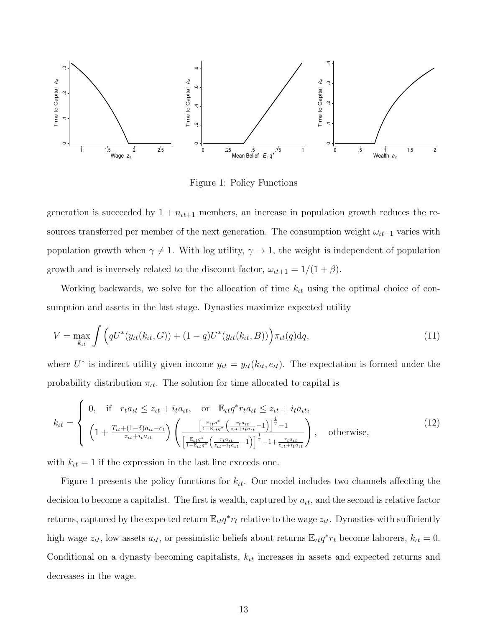<span id="page-15-0"></span>

<span id="page-15-2"></span><span id="page-15-1"></span>Figure 1: Policy Functions

generation is succeeded by  $1 + n_{tt+1}$  members, an increase in population growth reduces the resources transferred per member of the next generation. The consumption weight  $\omega_{tt+1}$  varies with population growth when  $\gamma \neq 1$ . With log utility,  $\gamma \rightarrow 1$ , the weight is independent of population growth and is inversely related to the discount factor,  $\omega_{tt+1} = 1/(1+\beta)$ .

Working backwards, we solve for the allocation of time  $k<sub>tt</sub>$  using the optimal choice of consumption and assets in the last stage. Dynasties maximize expected utility

$$
V = \max_{k_{tt}} \int \Big( qU^*(y_{tt}(k_{tt}, G)) + (1 - q)U^*(y_{tt}(k_{tt}, B)) \Big) \pi_{tt}(q) dq, \tag{11}
$$

where  $U^*$  is indirect utility given income  $y_{tt} = y_{tt}(k_{tt}, e_{tt})$ . The expectation is formed under the probability distribution  $\pi_{tt}$ . The solution for time allocated to capital is

$$
k_{tt} = \begin{cases} 0, & \text{if } r_t a_{tt} \le z_{tt} + i_t a_{tt}, \quad \text{or } \mathbb{E}_{tt} q^* r_t a_{tt} \le z_{tt} + i_t a_{tt}, \\ \left( 1 + \frac{T_{tt} + (1 - \delta) a_{tt} - \bar{c}_t}{z_{tt} + i_t a_{tt}} \right) \left( \frac{\left[ \frac{\mathbb{E}_{tt} q^*}{1 - \mathbb{E}_{tt} q^*} \left( \frac{r_t a_{tt}}{z_{tt} + i_t a_{tt}} - 1 \right) \right]^{\frac{1}{\gamma}} - 1}{\left[ \frac{\mathbb{E}_{tt} q^*}{1 - \mathbb{E}_{tt} q^*} \left( \frac{r_t a_{tt}}{z_{tt} + i_t a_{tt}} - 1 \right) \right]^{\frac{1}{\gamma}} - 1 + \frac{r_t a_{tt}}{z_{tt} + i_t a_{tt}}} \right), \quad \text{otherwise,} \end{cases} \tag{12}
$$

with  $k_{tt} = 1$  if the expression in the last line exceeds one.

Figure [1](#page-15-0) presents the policy functions for  $k_{tt}$ . Our model includes two channels affecting the decision to become a capitalist. The first is wealth, captured by  $a_{tt}$ , and the second is relative factor returns, captured by the expected return  $\mathbb{E}_{tt} q^* r_t$  relative to the wage  $z_{tt}$ . Dynasties with sufficiently high wage  $z_{tt}$ , low assets  $a_{tt}$ , or pessimistic beliefs about returns  $\mathbb{E}_{tt}q^*r_t$  become laborers,  $k_{tt} = 0$ . Conditional on a dynasty becoming capitalists,  $k<sub>tt</sub>$  increases in assets and expected returns and decreases in the wage.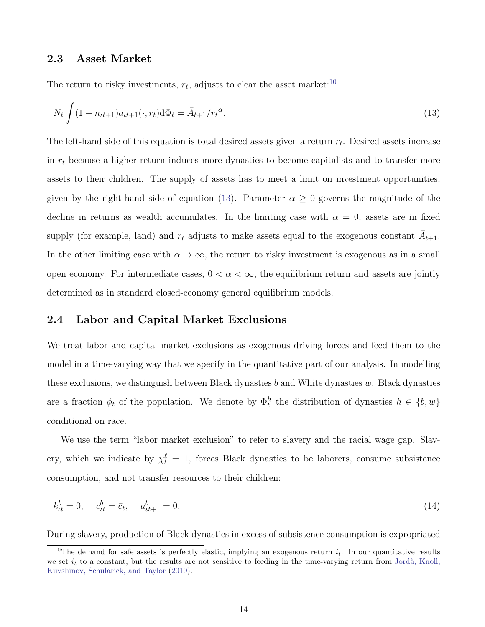#### 2.3 Asset Market

The return to risky investments,  $r_t$ , adjusts to clear the asset market:<sup>[10](#page-16-0)</sup>

<span id="page-16-1"></span>
$$
N_t \int (1 + n_{tt+1}) a_{tt+1}(\cdot, r_t) d\Phi_t = \bar{A}_{t+1}/r_t^{\alpha}.
$$
\n(13)

The left-hand side of this equation is total desired assets given a return  $r_t$ . Desired assets increase in  $r_t$  because a higher return induces more dynasties to become capitalists and to transfer more assets to their children. The supply of assets has to meet a limit on investment opportunities, given by the right-hand side of equation [\(13\)](#page-16-1). Parameter  $\alpha \geq 0$  governs the magnitude of the decline in returns as wealth accumulates. In the limiting case with  $\alpha = 0$ , assets are in fixed supply (for example, land) and  $r_t$  adjusts to make assets equal to the exogenous constant  $\overline{A}_{t+1}$ . In the other limiting case with  $\alpha \to \infty$ , the return to risky investment is exogenous as in a small open economy. For intermediate cases,  $0 < \alpha < \infty$ , the equilibrium return and assets are jointly determined as in standard closed-economy general equilibrium models.

## 2.4 Labor and Capital Market Exclusions

We treat labor and capital market exclusions as exogenous driving forces and feed them to the model in a time-varying way that we specify in the quantitative part of our analysis. In modelling these exclusions, we distinguish between Black dynasties b and White dynasties  $w$ . Black dynasties are a fraction  $\phi_t$  of the population. We denote by  $\Phi_t^h$  the distribution of dynasties  $h \in \{b, w\}$ conditional on race.

We use the term "labor market exclusion" to refer to slavery and the racial wage gap. Slavery, which we indicate by  $\chi_t^{\ell} = 1$ , forces Black dynasties to be laborers, consume subsistence consumption, and not transfer resources to their children:

$$
k_{tt}^b = 0, \quad c_{tt}^b = \bar{c}_t, \quad a_{tt+1}^b = 0.
$$
\n(14)

During slavery, production of Black dynasties in excess of subsistence consumption is expropriated

<span id="page-16-0"></span><sup>&</sup>lt;sup>10</sup>The demand for safe assets is perfectly elastic, implying an exogenous return  $i_t$ . In our quantitative results we set  $i_t$  to a constant, but the results are not sensitive to feeding in the time-varying return from Jordà, Knoll, [Kuvshinov, Schularick, and Taylor](#page-51-10) [\(2019\)](#page-51-10).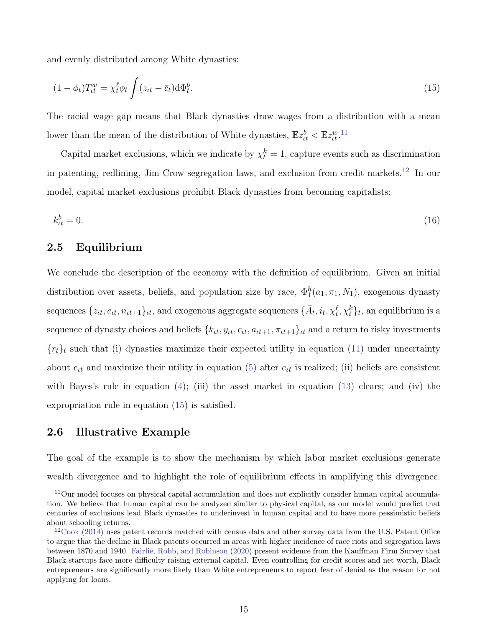and evenly distributed among White dynasties:

<span id="page-17-2"></span>
$$
(1 - \phi_t)T_{tt}^w = \chi_t^\ell \phi_t \int (z_{tt} - \bar{c}_t) \mathrm{d}\Phi_t^b. \tag{15}
$$

The racial wage gap means that Black dynasties draw wages from a distribution with a mean lower than the mean of the distribution of White dynasties,  $\mathbb{E}z_{tt}^b < \mathbb{E}z_{tt}^w$ .<sup>[11](#page-17-0)</sup>

Capital market exclusions, which we indicate by  $\chi_t^k = 1$ , capture events such as discrimination in patenting, redlining, Jim Crow segregation laws, and exclusion from credit markets.[12](#page-17-1) In our model, capital market exclusions prohibit Black dynasties from becoming capitalists:

$$
k_{it}^b = 0.\tag{16}
$$

## 2.5 Equilibrium

We conclude the description of the economy with the definition of equilibrium. Given an initial distribution over assets, beliefs, and population size by race,  $\Phi_1^h(a_1, \pi_1, N_1)$ , exogenous dynasty sequences  $\{z_{it}, e_{it}, n_{it+1}\}_{it}$ , and exogenous aggregate sequences  $\{\bar{A}_t, i_t, \chi_t^{\ell}, \chi_t^k\}_{t}$ , an equilibrium is a sequence of dynasty choices and beliefs  ${k<sub>tt</sub>, y<sub>tt</sub>, c<sub>tt</sub>, a<sub>tt+1</sub>, \pi<sub>tt+1</sub>}$ <sub>ut</sub> and a return to risky investments  ${r_t}_t$  such that (i) dynasties maximize their expected utility in equation [\(11\)](#page-15-1) under uncertainty about  $e_{tt}$  and maximize their utility in equation [\(5\)](#page-13-0) after  $e_{tt}$  is realized; (ii) beliefs are consistent with Bayes's rule in equation  $(4)$ ; (iii) the asset market in equation  $(13)$  clears; and (iv) the expropriation rule in equation [\(15\)](#page-17-2) is satisfied.

## <span id="page-17-3"></span>2.6 Illustrative Example

The goal of the example is to show the mechanism by which labor market exclusions generate wealth divergence and to highlight the role of equilibrium effects in amplifying this divergence.

<span id="page-17-0"></span><sup>11</sup>Our model focuses on physical capital accumulation and does not explicitly consider human capital accumulation. We believe that human capital can be analyzed similar to physical capital, as our model would predict that centuries of exclusions lead Black dynasties to underinvest in human capital and to have more pessimistic beliefs about schooling returns.

<span id="page-17-1"></span> $12$ [Cook](#page-49-9) [\(2014\)](#page-49-9) uses patent records matched with census data and other survey data from the U.S. Patent Office to argue that the decline in Black patents occurred in areas with higher incidence of race riots and segregation laws between 1870 and 1940. [Fairlie, Robb, and Robinson](#page-50-9) [\(2020\)](#page-50-9) present evidence from the Kauffman Firm Survey that Black startups face more difficulty raising external capital. Even controlling for credit scores and net worth, Black entrepreneurs are significantly more likely than White entrepreneurs to report fear of denial as the reason for not applying for loans.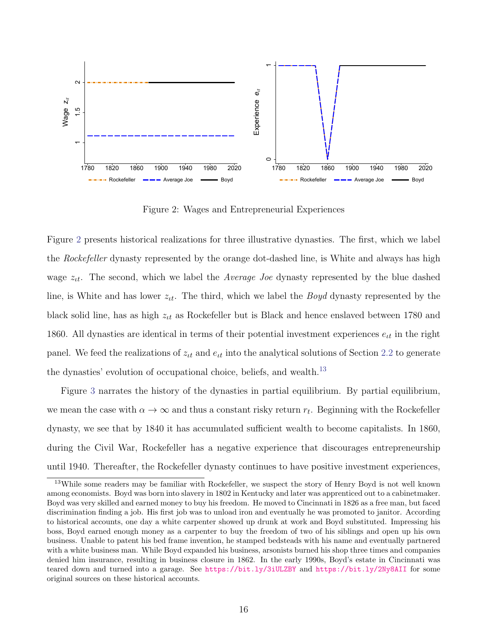<span id="page-18-0"></span>

Figure 2: Wages and Entrepreneurial Experiences

Figure [2](#page-18-0) presents historical realizations for three illustrative dynasties. The first, which we label the *Rockefeller* dynasty represented by the orange dot-dashed line, is White and always has high wage  $z_{tt}$ . The second, which we label the *Average Joe* dynasty represented by the blue dashed line, is White and has lower  $z_{tt}$ . The third, which we label the *Boyd* dynasty represented by the black solid line, has as high  $z_{tt}$  as Rockefeller but is Black and hence enslaved between 1780 and 1860. All dynasties are identical in terms of their potential investment experiences  $e_{tt}$  in the right panel. We feed the realizations of  $z_{it}$  and  $e_{it}$  into the analytical solutions of Section [2.2](#page-14-2) to generate the dynasties' evolution of occupational choice, beliefs, and wealth.<sup>[13](#page-18-1)</sup>

Figure [3](#page-19-0) narrates the history of the dynasties in partial equilibrium. By partial equilibrium, we mean the case with  $\alpha \to \infty$  and thus a constant risky return  $r_t$ . Beginning with the Rockefeller dynasty, we see that by 1840 it has accumulated sufficient wealth to become capitalists. In 1860, during the Civil War, Rockefeller has a negative experience that discourages entrepreneurship until 1940. Thereafter, the Rockefeller dynasty continues to have positive investment experiences,

<span id="page-18-1"></span><sup>&</sup>lt;sup>13</sup>While some readers may be familiar with Rockefeller, we suspect the story of Henry Boyd is not well known among economists. Boyd was born into slavery in 1802 in Kentucky and later was apprenticed out to a cabinetmaker. Boyd was very skilled and earned money to buy his freedom. He moved to Cincinnati in 1826 as a free man, but faced discrimination finding a job. His first job was to unload iron and eventually he was promoted to janitor. According to historical accounts, one day a white carpenter showed up drunk at work and Boyd substituted. Impressing his boss, Boyd earned enough money as a carpenter to buy the freedom of two of his siblings and open up his own business. Unable to patent his bed frame invention, he stamped bedsteads with his name and eventually partnered with a white business man. While Boyd expanded his business, arsonists burned his shop three times and companies denied him insurance, resulting in business closure in 1862. In the early 1990s, Boyd's estate in Cincinnati was teared down and turned into a garage. See <https://bit.ly/3iULZBY> and <https://bit.ly/2Ny8AII> for some original sources on these historical accounts.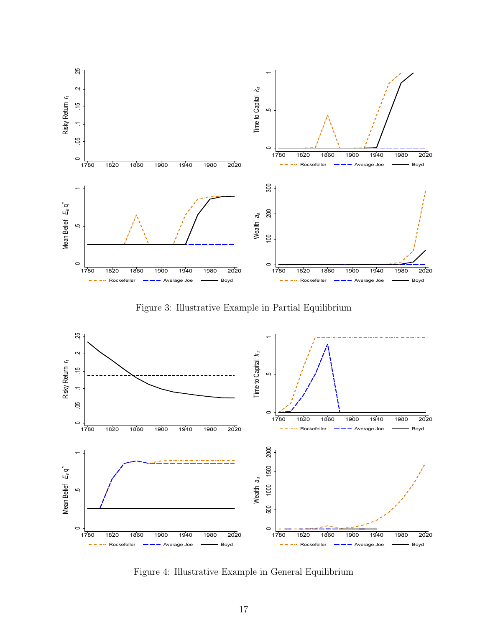<span id="page-19-0"></span>

Figure 3: Illustrative Example in Partial Equilibrium



Figure 4: Illustrative Example in General Equilibrium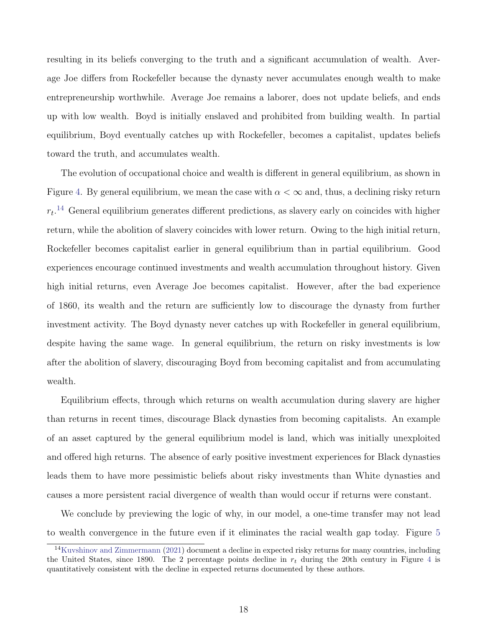resulting in its beliefs converging to the truth and a significant accumulation of wealth. Average Joe differs from Rockefeller because the dynasty never accumulates enough wealth to make entrepreneurship worthwhile. Average Joe remains a laborer, does not update beliefs, and ends up with low wealth. Boyd is initially enslaved and prohibited from building wealth. In partial equilibrium, Boyd eventually catches up with Rockefeller, becomes a capitalist, updates beliefs toward the truth, and accumulates wealth.

The evolution of occupational choice and wealth is different in general equilibrium, as shown in Figure [4.](#page-19-0) By general equilibrium, we mean the case with  $\alpha < \infty$  and, thus, a declining risky return  $r_t$ <sup>[14](#page-20-0)</sup> General equilibrium generates different predictions, as slavery early on coincides with higher return, while the abolition of slavery coincides with lower return. Owing to the high initial return, Rockefeller becomes capitalist earlier in general equilibrium than in partial equilibrium. Good experiences encourage continued investments and wealth accumulation throughout history. Given high initial returns, even Average Joe becomes capitalist. However, after the bad experience of 1860, its wealth and the return are sufficiently low to discourage the dynasty from further investment activity. The Boyd dynasty never catches up with Rockefeller in general equilibrium, despite having the same wage. In general equilibrium, the return on risky investments is low after the abolition of slavery, discouraging Boyd from becoming capitalist and from accumulating wealth.

Equilibrium effects, through which returns on wealth accumulation during slavery are higher than returns in recent times, discourage Black dynasties from becoming capitalists. An example of an asset captured by the general equilibrium model is land, which was initially unexploited and offered high returns. The absence of early positive investment experiences for Black dynasties leads them to have more pessimistic beliefs about risky investments than White dynasties and causes a more persistent racial divergence of wealth than would occur if returns were constant.

We conclude by previewing the logic of why, in our model, a one-time transfer may not lead to wealth convergence in the future even if it eliminates the racial wealth gap today. Figure [5](#page-21-0)

<span id="page-20-0"></span><sup>14</sup>[Kuvshinov and Zimmermann](#page-51-0) [\(2021\)](#page-51-0) document a decline in expected risky returns for many countries, including the United States, since 1890. The 2 percentage points decline in  $r_t$  during the 20th century in Figure [4](#page-19-0) is quantitatively consistent with the decline in expected returns documented by these authors.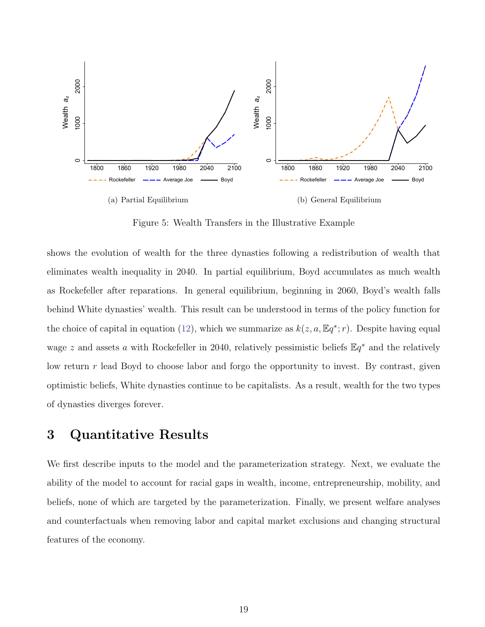<span id="page-21-0"></span>

Figure 5: Wealth Transfers in the Illustrative Example

shows the evolution of wealth for the three dynasties following a redistribution of wealth that eliminates wealth inequality in 2040. In partial equilibrium, Boyd accumulates as much wealth as Rockefeller after reparations. In general equilibrium, beginning in 2060, Boyd's wealth falls behind White dynasties' wealth. This result can be understood in terms of the policy function for the choice of capital in equation [\(12\)](#page-15-2), which we summarize as  $k(z, a, \mathbb{E}q^*; r)$ . Despite having equal wage z and assets a with Rockefeller in 2040, relatively pessimistic beliefs  $\mathbb{E}q^*$  and the relatively low return r lead Boyd to choose labor and forgo the opportunity to invest. By contrast, given optimistic beliefs, White dynasties continue to be capitalists. As a result, wealth for the two types of dynasties diverges forever.

# 3 Quantitative Results

We first describe inputs to the model and the parameterization strategy. Next, we evaluate the ability of the model to account for racial gaps in wealth, income, entrepreneurship, mobility, and beliefs, none of which are targeted by the parameterization. Finally, we present welfare analyses and counterfactuals when removing labor and capital market exclusions and changing structural features of the economy.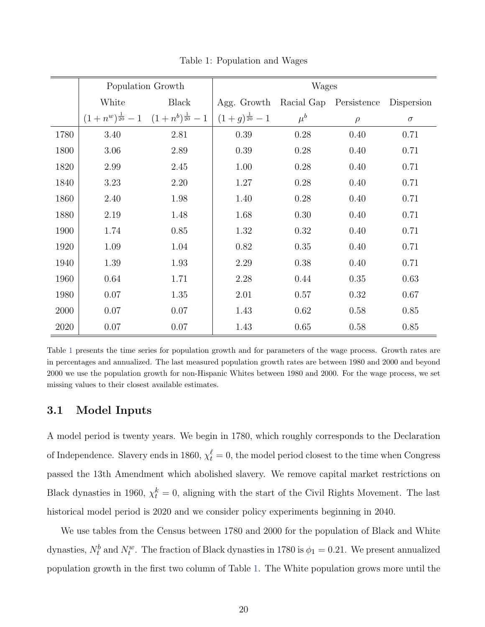<span id="page-22-0"></span>

|      | Population Growth |                                                       |                                               | <b>Wages</b> |        |          |
|------|-------------------|-------------------------------------------------------|-----------------------------------------------|--------------|--------|----------|
|      | White             | Black                                                 | Agg. Growth Racial Gap Persistence Dispersion |              |        |          |
|      |                   | $(1+n^w)^{\frac{1}{20}}-1$ $(1+n^b)^{\frac{1}{20}}-1$ | $(1+g)^{\frac{1}{20}}-1$                      | $\mu^b$      | $\rho$ | $\sigma$ |
| 1780 | 3.40              | 2.81                                                  | 0.39                                          | 0.28         | 0.40   | 0.71     |
| 1800 | 3.06              | 2.89                                                  | 0.39                                          | 0.28         | 0.40   | 0.71     |
| 1820 | 2.99              | 2.45                                                  | 1.00                                          | 0.28         | 0.40   | 0.71     |
| 1840 | 3.23              | 2.20                                                  | 1.27                                          | 0.28         | 0.40   | 0.71     |
| 1860 | 2.40              | 1.98                                                  | 1.40                                          | 0.28         | 0.40   | 0.71     |
| 1880 | 2.19              | 1.48                                                  | 1.68                                          | 0.30         | 0.40   | 0.71     |
| 1900 | 1.74              | 0.85                                                  | 1.32                                          | 0.32         | 0.40   | 0.71     |
| 1920 | 1.09              | 1.04                                                  | 0.82                                          | 0.35         | 0.40   | 0.71     |
| 1940 | 1.39              | 1.93                                                  | $2.29\,$                                      | 0.38         | 0.40   | 0.71     |
| 1960 | 0.64              | 1.71                                                  | 2.28                                          | 0.44         | 0.35   | 0.63     |
| 1980 | 0.07              | 1.35                                                  | 2.01                                          | 0.57         | 0.32   | 0.67     |
| 2000 | 0.07              | 0.07                                                  | 1.43                                          | 0.62         | 0.58   | 0.85     |
| 2020 | 0.07              | 0.07                                                  | 1.43                                          | 0.65         | 0.58   | 0.85     |

Table 1: Population and Wages

Table [1](#page-22-0) presents the time series for population growth and for parameters of the wage process. Growth rates are in percentages and annualized. The last measured population growth rates are between 1980 and 2000 and beyond 2000 we use the population growth for non-Hispanic Whites between 1980 and 2000. For the wage process, we set missing values to their closest available estimates.

### 3.1 Model Inputs

A model period is twenty years. We begin in 1780, which roughly corresponds to the Declaration of Independence. Slavery ends in 1860,  $\chi_t^{\ell} = 0$ , the model period closest to the time when Congress passed the 13th Amendment which abolished slavery. We remove capital market restrictions on Black dynasties in 1960,  $\chi_t^k = 0$ , aligning with the start of the Civil Rights Movement. The last historical model period is 2020 and we consider policy experiments beginning in 2040.

We use tables from the Census between 1780 and 2000 for the population of Black and White dynasties,  $N_t^b$  and  $N_t^w$ . The fraction of Black dynasties in 1780 is  $\phi_1 = 0.21$ . We present annualized population growth in the first two column of Table [1.](#page-22-0) The White population grows more until the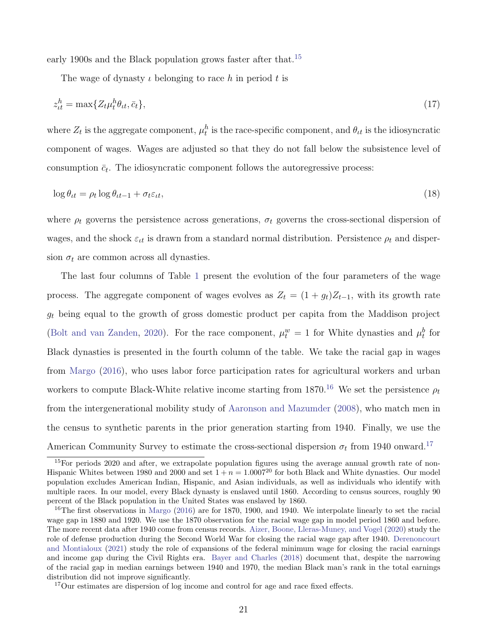early 1900s and the Black population grows faster after that.<sup>[15](#page-23-0)</sup>

<span id="page-23-4"></span><span id="page-23-3"></span>The wage of dynasty  $\iota$  belonging to race h in period t is

$$
z_{tt}^h = \max\{Z_t \mu_t^h \theta_{tt}, \bar{c}_t\},\tag{17}
$$

where  $Z_t$  is the aggregate component,  $\mu_t^h$  is the race-specific component, and  $\theta_{tt}$  is the idiosyncratic component of wages. Wages are adjusted so that they do not fall below the subsistence level of consumption  $\bar{c}_t$ . The idiosyncratic component follows the autoregressive process:

$$
\log \theta_{tt} = \rho_t \log \theta_{tt-1} + \sigma_t \varepsilon_{tt},\tag{18}
$$

where  $\rho_t$  governs the persistence across generations,  $\sigma_t$  governs the cross-sectional dispersion of wages, and the shock  $\varepsilon_{tt}$  is drawn from a standard normal distribution. Persistence  $\rho_t$  and dispersion  $\sigma_t$  are common across all dynasties.

The last four columns of Table [1](#page-22-0) present the evolution of the four parameters of the wage process. The aggregate component of wages evolves as  $Z_t = (1 + g_t)Z_{t-1}$ , with its growth rate  $g_t$  being equal to the growth of gross domestic product per capita from the Maddison project [\(Bolt and van Zanden,](#page-49-10) [2020\)](#page-49-10). For the race component,  $\mu_t^w = 1$  for White dynasties and  $\mu_t^b$  for Black dynasties is presented in the fourth column of the table. We take the racial gap in wages from [Margo](#page-51-7) [\(2016\)](#page-51-7), who uses labor force participation rates for agricultural workers and urban workers to compute Black-White relative income starting from 1870.<sup>[16](#page-23-1)</sup> We set the persistence  $\rho_t$ from the intergenerational mobility study of [Aaronson and Mazumder](#page-48-6) [\(2008\)](#page-48-6), who match men in the census to synthetic parents in the prior generation starting from 1940. Finally, we use the American Community Survey to estimate the cross-sectional dispersion  $\sigma_t$  from 1940 onward.<sup>[17](#page-23-2)</sup>

<span id="page-23-0"></span><sup>&</sup>lt;sup>15</sup>For periods 2020 and after, we extrapolate population figures using the average annual growth rate of non-Hispanic Whites between 1980 and 2000 and set  $1 + n = 1.0007^{20}$  for both Black and White dynasties. Our model population excludes American Indian, Hispanic, and Asian individuals, as well as individuals who identify with multiple races. In our model, every Black dynasty is enslaved until 1860. According to census sources, roughly 90 percent of the Black population in the United States was enslaved by 1860.

<span id="page-23-1"></span><sup>&</sup>lt;sup>16</sup>The first observations in [Margo](#page-51-7) [\(2016\)](#page-51-7) are for 1870, 1900, and 1940. We interpolate linearly to set the racial wage gap in 1880 and 1920. We use the 1870 observation for the racial wage gap in model period 1860 and before. The more recent data after 1940 come from census records. [Aizer, Boone, Lleras-Muney, and Vogel](#page-48-7) [\(2020\)](#page-48-7) study the role of defense production during the Second World War for closing the racial wage gap after 1940. [Derenoncourt](#page-50-10) [and Montialoux](#page-50-10) [\(2021\)](#page-50-10) study the role of expansions of the federal minimum wage for closing the racial earnings and income gap during the Civil Rights era. [Bayer and Charles](#page-48-8) [\(2018\)](#page-48-8) document that, despite the narrowing of the racial gap in median earnings between 1940 and 1970, the median Black man's rank in the total earnings distribution did not improve significantly.

<span id="page-23-2"></span><sup>17</sup>Our estimates are dispersion of log income and control for age and race fixed effects.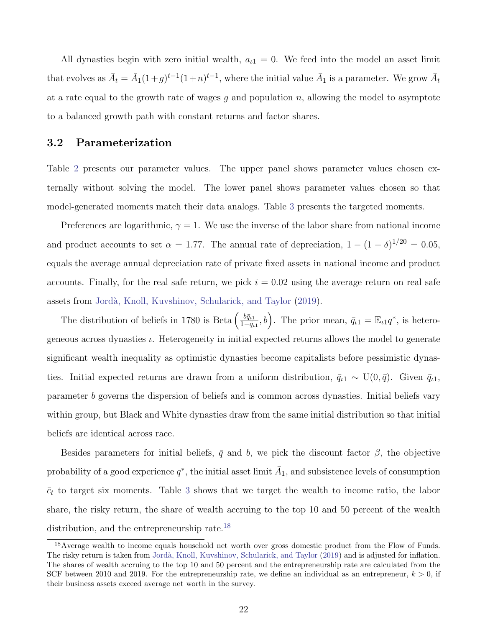All dynasties begin with zero initial wealth,  $a_{i1} = 0$ . We feed into the model an asset limit that evolves as  $\bar{A}_t = \bar{A}_1(1+g)^{t-1}(1+n)^{t-1}$ , where the initial value  $\bar{A}_1$  is a parameter. We grow  $\bar{A}_t$ at a rate equal to the growth rate of wages  $q$  and population  $n$ , allowing the model to asymptote to a balanced growth path with constant returns and factor shares.

### 3.2 Parameterization

Table [2](#page-25-0) presents our parameter values. The upper panel shows parameter values chosen externally without solving the model. The lower panel shows parameter values chosen so that model-generated moments match their data analogs. Table [3](#page-25-0) presents the targeted moments.

Preferences are logarithmic,  $\gamma = 1$ . We use the inverse of the labor share from national income and product accounts to set  $\alpha = 1.77$ . The annual rate of depreciation,  $1 - (1 - \delta)^{1/20} = 0.05$ , equals the average annual depreciation rate of private fixed assets in national income and product accounts. Finally, for the real safe return, we pick  $i = 0.02$  using the average return on real safe assets from [Jord`a, Knoll, Kuvshinov, Schularick, and Taylor](#page-51-10) [\(2019\)](#page-51-10).

The distribution of beliefs in 1780 is Beta  $\left(\frac{b\bar{q}_{i1}}{1-\bar{q}_{i}}\right)$  $\frac{b\bar{q}_{\iota 1}}{1-\bar{q}_{\iota 1}},b$ . The prior mean,  $\bar{q}_{\iota 1} = \mathbb{E}_{\iota 1}q^*$ , is heterogeneous across dynasties  $\iota$ . Heterogeneity in initial expected returns allows the model to generate significant wealth inequality as optimistic dynasties become capitalists before pessimistic dynasties. Initial expected returns are drawn from a uniform distribution,  $\bar{q}_{\iota1} \sim U(0, \bar{q})$ . Given  $\bar{q}_{\iota1}$ , parameter b governs the dispersion of beliefs and is common across dynasties. Initial beliefs vary within group, but Black and White dynasties draw from the same initial distribution so that initial beliefs are identical across race.

Besides parameters for initial beliefs,  $\bar{q}$  and b, we pick the discount factor  $\beta$ , the objective probability of a good experience  $q^*$ , the initial asset limit  $\bar{A}_1$ , and subsistence levels of consumption  $\bar{c}_t$  to target six moments. Table [3](#page-25-0) shows that we target the wealth to income ratio, the labor share, the risky return, the share of wealth accruing to the top 10 and 50 percent of the wealth distribution, and the entrepreneurship rate.<sup>[18](#page-24-0)</sup>

<span id="page-24-0"></span><sup>18</sup>Average wealth to income equals household net worth over gross domestic product from the Flow of Funds. The risky return is taken from Jordà, Knoll, Kuvshinov, Schularick, and Taylor [\(2019\)](#page-51-10) and is adjusted for inflation. The shares of wealth accruing to the top 10 and 50 percent and the entrepreneurship rate are calculated from the SCF between 2010 and 2019. For the entrepreneurship rate, we define an individual as an entrepreneur,  $k > 0$ , if their business assets exceed average net worth in the survey.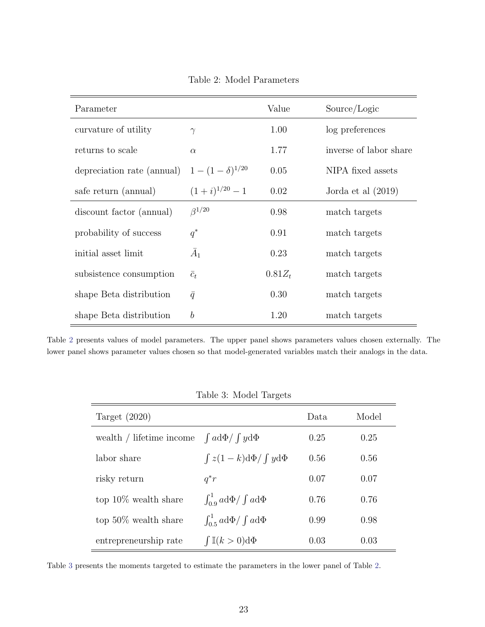<span id="page-25-0"></span>

| Parameter                  |                       | Value     | Source/Logic           |
|----------------------------|-----------------------|-----------|------------------------|
| curvature of utility       | $\gamma$              | 1.00      | log preferences        |
| returns to scale           | $\alpha$              | 1.77      | inverse of labor share |
| depreciation rate (annual) | $1-(1-\delta)^{1/20}$ | 0.05      | NIPA fixed assets      |
| safe return (annual)       | $(1+i)^{1/20} - 1$    | 0.02      | Jorda et al $(2019)$   |
| discount factor (annual)   | $\beta^{1/20}$        | 0.98      | match targets          |
| probability of success     | $q^*$                 | 0.91      | match targets          |
| initial asset limit        | $\bar{A}_1$           | 0.23      | match targets          |
| subsistence consumption    | $\bar{c}_t$           | $0.81Z_t$ | match targets          |
| shape Beta distribution    | $\bar{q}$             | 0.30      | match targets          |
| shape Beta distribution    | $\boldsymbol{b}$      | 1.20      | match targets          |

Table 2: Model Parameters

Table [2](#page-25-0) presents values of model parameters. The upper panel shows parameters values chosen externally. The lower panel shows parameter values chosen so that model-generated variables match their analogs in the data.

|                          | ິ                                       |      |       |
|--------------------------|-----------------------------------------|------|-------|
| Target $(2020)$          |                                         | Data | Model |
| wealth / lifetime income | $\int a d\Phi / \int y d\Phi$           | 0.25 | 0.25  |
| labor share              | $\int z(1-k)d\Phi/\int yd\Phi$          | 0.56 | 0.56  |
| risky return             | $q^*r$                                  | 0.07 | 0.07  |
| top $10\%$ wealth share  | $\int_{0}^{1} a d\Phi / \int a d\Phi$   | 0.76 | 0.76  |
| top $50\%$ wealth share  | $\int_{0.5}^{1} a d\Phi / \int a d\Phi$ | 0.99 | 0.98  |
| entrepreneurship rate    | $\int$ $\mathbb{I}(k>0)d\Phi$           | 0.03 | 0.03  |

Table 3: Model Targets

Table [3](#page-25-0) presents the moments targeted to estimate the parameters in the lower panel of Table [2.](#page-25-0)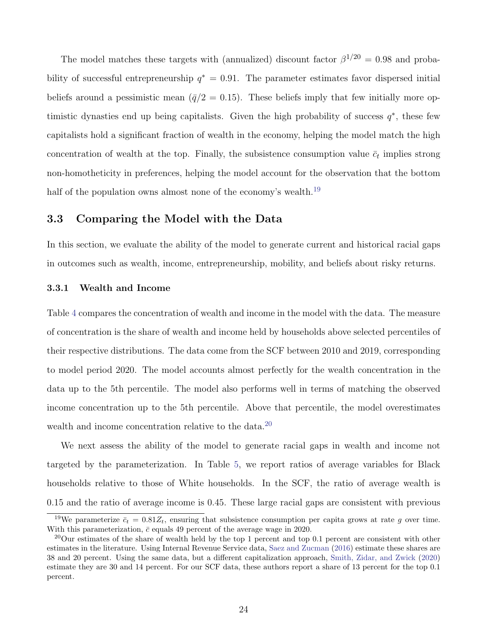The model matches these targets with (annualized) discount factor  $\beta^{1/20} = 0.98$  and probability of successful entrepreneurship  $q^* = 0.91$ . The parameter estimates favor dispersed initial beliefs around a pessimistic mean  $(\bar{q}/2 = 0.15)$ . These beliefs imply that few initially more optimistic dynasties end up being capitalists. Given the high probability of success  $q^*$ , these few capitalists hold a significant fraction of wealth in the economy, helping the model match the high concentration of wealth at the top. Finally, the subsistence consumption value  $\bar{c}_t$  implies strong non-homotheticity in preferences, helping the model account for the observation that the bottom half of the population owns almost none of the economy's wealth.<sup>[19](#page-26-1)</sup>

### 3.3 Comparing the Model with the Data

In this section, we evaluate the ability of the model to generate current and historical racial gaps in outcomes such as wealth, income, entrepreneurship, mobility, and beliefs about risky returns.

#### <span id="page-26-0"></span>3.3.1 Wealth and Income

Table [4](#page-27-0) compares the concentration of wealth and income in the model with the data. The measure of concentration is the share of wealth and income held by households above selected percentiles of their respective distributions. The data come from the SCF between 2010 and 2019, corresponding to model period 2020. The model accounts almost perfectly for the wealth concentration in the data up to the 5th percentile. The model also performs well in terms of matching the observed income concentration up to the 5th percentile. Above that percentile, the model overestimates wealth and income concentration relative to the data.<sup>[20](#page-26-2)</sup>

We next assess the ability of the model to generate racial gaps in wealth and income not targeted by the parameterization. In Table [5,](#page-27-0) we report ratios of average variables for Black households relative to those of White households. In the SCF, the ratio of average wealth is 0.15 and the ratio of average income is 0.45. These large racial gaps are consistent with previous

<span id="page-26-1"></span><sup>&</sup>lt;sup>19</sup>We parameterize  $\bar{c}_t = 0.81Z_t$ , ensuring that subsistence consumption per capita grows at rate g over time. With this parameterization,  $\bar{c}$  equals 49 percent of the average wage in 2020.

<span id="page-26-2"></span><sup>&</sup>lt;sup>20</sup>Our estimates of the share of wealth held by the top 1 percent and top 0.1 percent are consistent with other estimates in the literature. Using Internal Revenue Service data, [Saez and Zucman](#page-52-3) [\(2016\)](#page-52-3) estimate these shares are 38 and 20 percent. Using the same data, but a different capitalization approach, [Smith, Zidar, and Zwick](#page-52-4) [\(2020\)](#page-52-4) estimate they are 30 and 14 percent. For our SCF data, these authors report a share of 13 percent for the top 0.1 percent.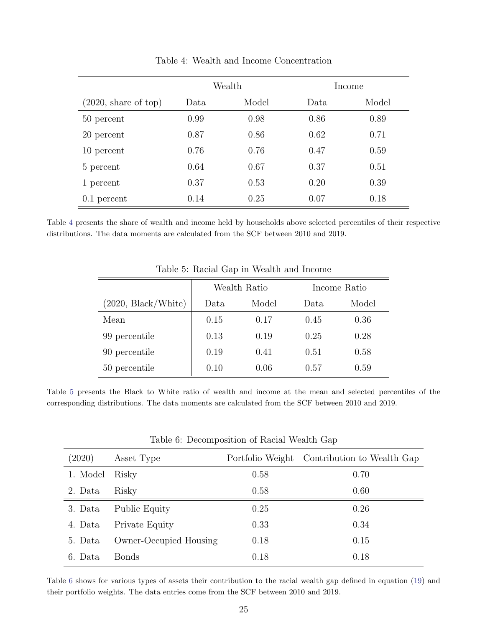<span id="page-27-0"></span>

|                                | Wealth |       | Income |       |
|--------------------------------|--------|-------|--------|-------|
| $(2020, \text{ share of top})$ | Data   | Model | Data   | Model |
| 50 percent                     | 0.99   | 0.98  | 0.86   | 0.89  |
| 20 percent                     | 0.87   | 0.86  | 0.62   | 0.71  |
| 10 percent                     | 0.76   | 0.76  | 0.47   | 0.59  |
| 5 percent                      | 0.64   | 0.67  | 0.37   | 0.51  |
| 1 percent                      | 0.37   | 0.53  | 0.20   | 0.39  |
| $0.1$ percent                  | 0.14   | 0.25  | 0.07   | 0.18  |

Table 4: Wealth and Income Concentration

Table [4](#page-27-0) presents the share of wealth and income held by households above selected percentiles of their respective distributions. The data moments are calculated from the SCF between 2010 and 2019.

|                     | Wealth Ratio |       |      | Income Ratio |
|---------------------|--------------|-------|------|--------------|
| (2020, Black/White) | Data.        | Model | Data | Model        |
| Mean                | 0.15         | 0.17  | 0.45 | 0.36         |
| 99 percentile       | 0.13         | 0.19  | 0.25 | 0.28         |
| 90 percentile       | 0.19         | 0.41  | 0.51 | 0.58         |
| 50 percentile       | 0.10         | 0.06  | 0.57 | 0.59         |

Table 5: Racial Gap in Wealth and Income

Table [5](#page-27-0) presents the Black to White ratio of wealth and income at the mean and selected percentiles of the corresponding distributions. The data moments are calculated from the SCF between 2010 and 2019.

| (2020)   | Asset Type             |      | Portfolio Weight Contribution to Wealth Gap |
|----------|------------------------|------|---------------------------------------------|
| 1. Model | Risky                  | 0.58 | 0.70                                        |
| 2. Data  | Risky                  | 0.58 | 0.60                                        |
| 3. Data  | Public Equity          | 0.25 | 0.26                                        |
| 4. Data  | Private Equity         | 0.33 | 0.34                                        |
| 5. Data  | Owner-Occupied Housing | 0.18 | 0.15                                        |
| 6. Data  | Bonds                  | 0.18 | 0.18                                        |

Table 6: Decomposition of Racial Wealth Gap

Table [6](#page-27-0) shows for various types of assets their contribution to the racial wealth gap defined in equation [\(19\)](#page-28-0) and their portfolio weights. The data entries come from the SCF between 2010 and 2019.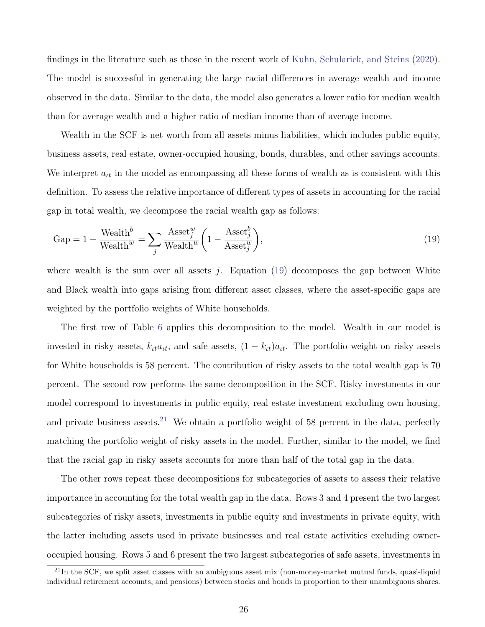findings in the literature such as those in the recent work of [Kuhn, Schularick, and Steins](#page-51-11) [\(2020\)](#page-51-11). The model is successful in generating the large racial differences in average wealth and income observed in the data. Similar to the data, the model also generates a lower ratio for median wealth than for average wealth and a higher ratio of median income than of average income.

Wealth in the SCF is net worth from all assets minus liabilities, which includes public equity, business assets, real estate, owner-occupied housing, bonds, durables, and other savings accounts. We interpret  $a_{it}$  in the model as encompassing all these forms of wealth as is consistent with this definition. To assess the relative importance of different types of assets in accounting for the racial gap in total wealth, we decompose the racial wealth gap as follows:

<span id="page-28-0"></span>
$$
Gap = 1 - \frac{Weakh^b}{Weakh^w} = \sum_{j} \frac{Asset_j^w}{Weakh^w} \left( 1 - \frac{Asset_j^b}{Asset_j^w} \right),\tag{19}
$$

where wealth is the sum over all assets  $j$ . Equation [\(19\)](#page-28-0) decomposes the gap between White and Black wealth into gaps arising from different asset classes, where the asset-specific gaps are weighted by the portfolio weights of White households.

The first row of Table [6](#page-27-0) applies this decomposition to the model. Wealth in our model is invested in risky assets,  $k_{tt}a_{tt}$ , and safe assets,  $(1 - k_{tt})a_{tt}$ . The portfolio weight on risky assets for White households is 58 percent. The contribution of risky assets to the total wealth gap is 70 percent. The second row performs the same decomposition in the SCF. Risky investments in our model correspond to investments in public equity, real estate investment excluding own housing, and private business assets.<sup>[21](#page-28-1)</sup> We obtain a portfolio weight of 58 percent in the data, perfectly matching the portfolio weight of risky assets in the model. Further, similar to the model, we find that the racial gap in risky assets accounts for more than half of the total gap in the data.

The other rows repeat these decompositions for subcategories of assets to assess their relative importance in accounting for the total wealth gap in the data. Rows 3 and 4 present the two largest subcategories of risky assets, investments in public equity and investments in private equity, with the latter including assets used in private businesses and real estate activities excluding owneroccupied housing. Rows 5 and 6 present the two largest subcategories of safe assets, investments in

<span id="page-28-1"></span> $^{21}$ In the SCF, we split asset classes with an ambiguous asset mix (non-money-market mutual funds, quasi-liquid individual retirement accounts, and pensions) between stocks and bonds in proportion to their unambiguous shares.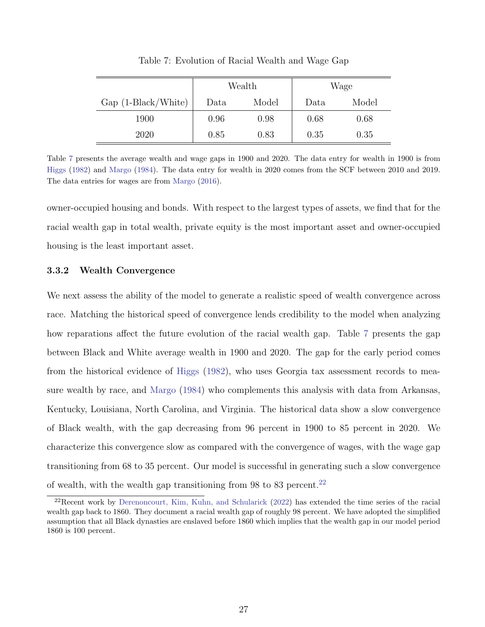<span id="page-29-0"></span>

|                      | Wealth |       |      | Wage  |
|----------------------|--------|-------|------|-------|
| $Gap(1-Black/White)$ | Data   | Model | Data | Model |
| 1900                 | 0.96   | 0.98  | 0.68 | 0.68  |
| 2020                 | 0.85   | 0.83  | 0.35 | 0.35  |

Table 7: Evolution of Racial Wealth and Wage Gap

Table [7](#page-29-0) presents the average wealth and wage gaps in 1900 and 2020. The data entry for wealth in 1900 is from [Higgs](#page-51-5) [\(1982\)](#page-51-5) and [Margo](#page-51-6) [\(1984\)](#page-51-6). The data entry for wealth in 2020 comes from the SCF between 2010 and 2019. The data entries for wages are from [Margo](#page-51-7) [\(2016\)](#page-51-7).

owner-occupied housing and bonds. With respect to the largest types of assets, we find that for the racial wealth gap in total wealth, private equity is the most important asset and owner-occupied housing is the least important asset.

#### 3.3.2 Wealth Convergence

We next assess the ability of the model to generate a realistic speed of wealth convergence across race. Matching the historical speed of convergence lends credibility to the model when analyzing how reparations affect the future evolution of the racial wealth gap. Table [7](#page-29-0) presents the gap between Black and White average wealth in 1900 and 2020. The gap for the early period comes from the historical evidence of [Higgs](#page-51-5) [\(1982\)](#page-51-5), who uses Georgia tax assessment records to measure wealth by race, and [Margo](#page-51-6) [\(1984\)](#page-51-6) who complements this analysis with data from Arkansas, Kentucky, Louisiana, North Carolina, and Virginia. The historical data show a slow convergence of Black wealth, with the gap decreasing from 96 percent in 1900 to 85 percent in 2020. We characterize this convergence slow as compared with the convergence of wages, with the wage gap transitioning from 68 to 35 percent. Our model is successful in generating such a slow convergence of wealth, with the wealth gap transitioning from  $98$  to  $83$  percent.<sup>[22](#page-29-1)</sup>

<span id="page-29-1"></span> $^{22}$ Recent work by [Derenoncourt, Kim, Kuhn, and Schularick](#page-50-7) [\(2022\)](#page-50-7) has extended the time series of the racial wealth gap back to 1860. They document a racial wealth gap of roughly 98 percent. We have adopted the simplified assumption that all Black dynasties are enslaved before 1860 which implies that the wealth gap in our model period 1860 is 100 percent.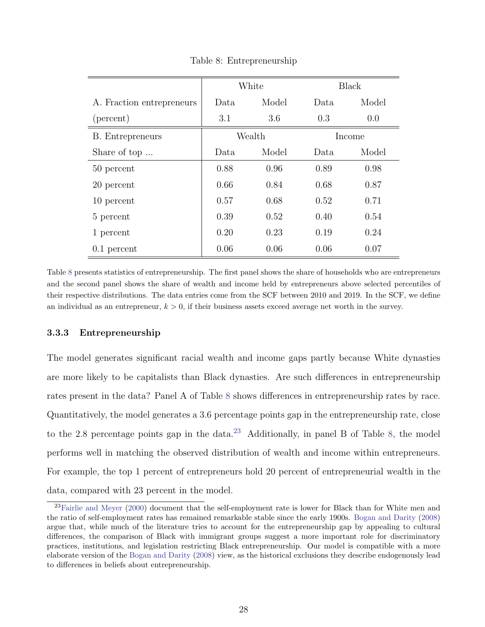<span id="page-30-0"></span>

|                           | White |        | <b>Black</b> |        |
|---------------------------|-------|--------|--------------|--------|
| A. Fraction entrepreneurs | Data. | Model  | Data.        | Model  |
| (percent)                 | 3.1   | 3.6    | 0.3          | 0.0    |
| <b>B.</b> Entrepreneurs   |       | Wealth |              | Income |
| Share of top              | Data. | Model  | Data         | Model  |
| 50 percent                | 0.88  | 0.96   | 0.89         | 0.98   |
| 20 percent                | 0.66  | 0.84   | 0.68         | 0.87   |
| 10 percent                | 0.57  | 0.68   | 0.52         | 0.71   |
| 5 percent                 | 0.39  | 0.52   | 0.40         | 0.54   |
| 1 percent                 | 0.20  | 0.23   | 0.19         | 0.24   |
| $0.1$ percent             | 0.06  | 0.06   | 0.06         | 0.07   |

Table 8: Entrepreneurship

Table [8](#page-30-0) presents statistics of entrepreneurship. The first panel shows the share of households who are entrepreneurs and the second panel shows the share of wealth and income held by entrepreneurs above selected percentiles of their respective distributions. The data entries come from the SCF between 2010 and 2019. In the SCF, we define an individual as an entrepreneur,  $k > 0$ , if their business assets exceed average net worth in the survey.

#### 3.3.3 Entrepreneurship

The model generates significant racial wealth and income gaps partly because White dynasties are more likely to be capitalists than Black dynasties. Are such differences in entrepreneurship rates present in the data? Panel A of Table [8](#page-30-0) shows differences in entrepreneurship rates by race. Quantitatively, the model generates a 3.6 percentage points gap in the entrepreneurship rate, close to the 2.8 percentage points gap in the data.<sup>[23](#page-30-1)</sup> Additionally, in panel B of Table [8,](#page-30-0) the model performs well in matching the observed distribution of wealth and income within entrepreneurs. For example, the top 1 percent of entrepreneurs hold 20 percent of entrepreneurial wealth in the data, compared with 23 percent in the model.

<span id="page-30-1"></span> $23$ [Fairlie and Meyer](#page-50-11) [\(2000\)](#page-50-11) document that the self-employment rate is lower for Black than for White men and the ratio of self-employment rates has remained remarkable stable since the early 1900s. [Bogan and Darity](#page-49-11) [\(2008\)](#page-49-11) argue that, while much of the literature tries to account for the entrepreneurship gap by appealing to cultural differences, the comparison of Black with immigrant groups suggest a more important role for discriminatory practices, institutions, and legislation restricting Black entrepreneurship. Our model is compatible with a more elaborate version of the [Bogan and Darity](#page-49-11) [\(2008\)](#page-49-11) view, as the historical exclusions they describe endogenously lead to differences in beliefs about entrepreneurship.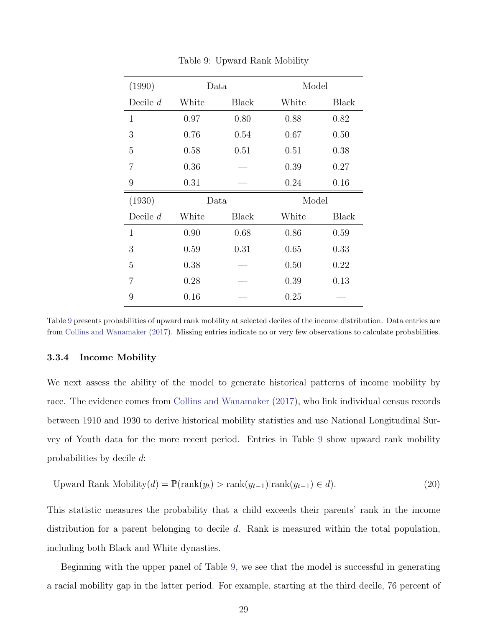<span id="page-31-0"></span>

| (1990)         | Data  |       | Model |              |
|----------------|-------|-------|-------|--------------|
| Decile $d$     | White | Black | White | <b>Black</b> |
| $\mathbf{1}$   | 0.97  | 0.80  | 0.88  | 0.82         |
| 3              | 0.76  | 0.54  | 0.67  | 0.50         |
| 5              | 0.58  | 0.51  | 0.51  | 0.38         |
| 7              | 0.36  |       | 0.39  | 0.27         |
| 9              | 0.31  |       | 0.24  | 0.16         |
| (1930)         | Data  |       | Model |              |
| Decile $d$     | White | Black | White | <b>Black</b> |
| $\mathbf{1}$   | 0.90  | 0.68  | 0.86  | 0.59         |
| 3              | 0.59  | 0.31  | 0.65  | 0.33         |
| 5              | 0.38  |       | 0.50  | 0.22         |
| $\overline{7}$ | 0.28  |       | 0.39  | 0.13         |
| 9              | 0.16  |       | 0.25  |              |

Table 9: Upward Rank Mobility

Table [9](#page-31-0) presents probabilities of upward rank mobility at selected deciles of the income distribution. Data entries are from [Collins and Wanamaker](#page-49-7) [\(2017\)](#page-49-7). Missing entries indicate no or very few observations to calculate probabilities.

#### 3.3.4 Income Mobility

We next assess the ability of the model to generate historical patterns of income mobility by race. The evidence comes from [Collins and Wanamaker](#page-49-7) [\(2017\)](#page-49-7), who link individual census records between 1910 and 1930 to derive historical mobility statistics and use National Longitudinal Survey of Youth data for the more recent period. Entries in Table [9](#page-31-0) show upward rank mobility probabilities by decile d:

Upward Rank Mobility
$$
(d)
$$
 =  $\mathbb{P}(\text{rank}(y_t) > \text{rank}(y_{t-1}) | \text{rank}(y_{t-1}) \in d).$  (20)

This statistic measures the probability that a child exceeds their parents' rank in the income distribution for a parent belonging to decile d. Rank is measured within the total population, including both Black and White dynasties.

Beginning with the upper panel of Table [9,](#page-31-0) we see that the model is successful in generating a racial mobility gap in the latter period. For example, starting at the third decile, 76 percent of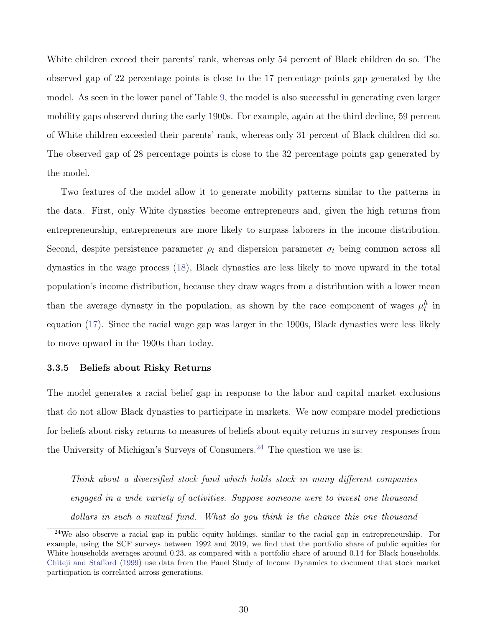White children exceed their parents' rank, whereas only 54 percent of Black children do so. The observed gap of 22 percentage points is close to the 17 percentage points gap generated by the model. As seen in the lower panel of Table [9,](#page-31-0) the model is also successful in generating even larger mobility gaps observed during the early 1900s. For example, again at the third decline, 59 percent of White children exceeded their parents' rank, whereas only 31 percent of Black children did so. The observed gap of 28 percentage points is close to the 32 percentage points gap generated by the model.

Two features of the model allow it to generate mobility patterns similar to the patterns in the data. First, only White dynasties become entrepreneurs and, given the high returns from entrepreneurship, entrepreneurs are more likely to surpass laborers in the income distribution. Second, despite persistence parameter  $\rho_t$  and dispersion parameter  $\sigma_t$  being common across all dynasties in the wage process [\(18\)](#page-23-3), Black dynasties are less likely to move upward in the total population's income distribution, because they draw wages from a distribution with a lower mean than the average dynasty in the population, as shown by the race component of wages  $\mu_t^h$  in equation [\(17\)](#page-23-4). Since the racial wage gap was larger in the 1900s, Black dynasties were less likely to move upward in the 1900s than today.

#### <span id="page-32-0"></span>3.3.5 Beliefs about Risky Returns

The model generates a racial belief gap in response to the labor and capital market exclusions that do not allow Black dynasties to participate in markets. We now compare model predictions for beliefs about risky returns to measures of beliefs about equity returns in survey responses from the University of Michigan's Surveys of Consumers.<sup>[24](#page-32-1)</sup> The question we use is:

Think about a diversified stock fund which holds stock in many different companies engaged in a wide variety of activities. Suppose someone were to invest one thousand dollars in such a mutual fund. What do you think is the chance this one thousand

<span id="page-32-1"></span><sup>&</sup>lt;sup>24</sup>We also observe a racial gap in public equity holdings, similar to the racial gap in entrepreneurship. For example, using the SCF surveys between 1992 and 2019, we find that the portfolio share of public equities for White households averages around 0.23, as compared with a portfolio share of around 0.14 for Black households. [Chiteji and Stafford](#page-49-12) [\(1999\)](#page-49-12) use data from the Panel Study of Income Dynamics to document that stock market participation is correlated across generations.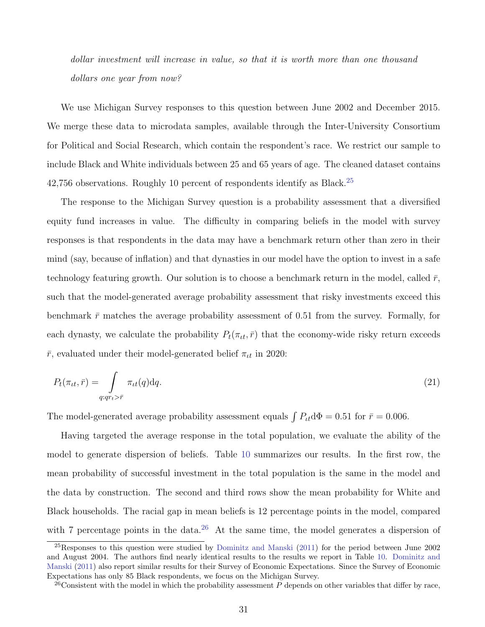dollar investment will increase in value, so that it is worth more than one thousand dollars one year from now?

We use Michigan Survey responses to this question between June 2002 and December 2015. We merge these data to microdata samples, available through the Inter-University Consortium for Political and Social Research, which contain the respondent's race. We restrict our sample to include Black and White individuals between 25 and 65 years of age. The cleaned dataset contains  $42,756$  observations. Roughly 10 percent of respondents identify as Black.<sup>[25](#page-33-0)</sup>

The response to the Michigan Survey question is a probability assessment that a diversified equity fund increases in value. The difficulty in comparing beliefs in the model with survey responses is that respondents in the data may have a benchmark return other than zero in their mind (say, because of inflation) and that dynasties in our model have the option to invest in a safe technology featuring growth. Our solution is to choose a benchmark return in the model, called  $\bar{r}$ , such that the model-generated average probability assessment that risky investments exceed this benchmark  $\bar{r}$  matches the average probability assessment of 0.51 from the survey. Formally, for each dynasty, we calculate the probability  $P_t(\pi_{tt}, \bar{r})$  that the economy-wide risky return exceeds  $\bar{r}$ , evaluated under their model-generated belief  $\pi_{tt}$  in 2020:

$$
P_t(\pi_{tt}, \bar{r}) = \int\limits_{q:qr_t > \bar{r}} \pi_{tt}(q) dq.
$$
\n(21)

The model-generated average probability assessment equals  $\int P_{tt} d\Phi = 0.51$  for  $\bar{r} = 0.006$ .

Having targeted the average response in the total population, we evaluate the ability of the model to generate dispersion of beliefs. Table [10](#page-34-0) summarizes our results. In the first row, the mean probability of successful investment in the total population is the same in the model and the data by construction. The second and third rows show the mean probability for White and Black households. The racial gap in mean beliefs is 12 percentage points in the model, compared with 7 percentage points in the data.<sup>[26](#page-33-1)</sup> At the same time, the model generates a dispersion of

<span id="page-33-0"></span><sup>&</sup>lt;sup>25</sup>Responses to this question were studied by [Dominitz and Manski](#page-50-12) [\(2011\)](#page-50-12) for the period between June 2002 and August 2004. The authors find nearly identical results to the results we report in Table [10.](#page-34-0) [Dominitz and](#page-50-12) [Manski](#page-50-12) [\(2011\)](#page-50-12) also report similar results for their Survey of Economic Expectations. Since the Survey of Economic Expectations has only 85 Black respondents, we focus on the Michigan Survey.

<span id="page-33-1"></span><sup>&</sup>lt;sup>26</sup>Consistent with the model in which the probability assessment P depends on other variables that differ by race,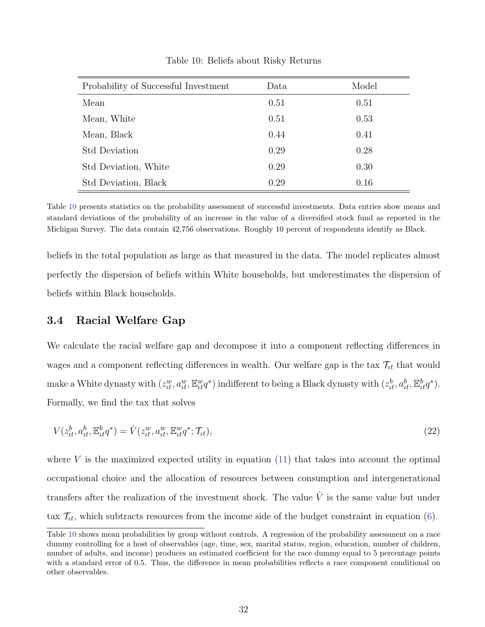<span id="page-34-0"></span>

| Probability of Successful Investment | Data | Model |
|--------------------------------------|------|-------|
| Mean                                 | 0.51 | 0.51  |
| Mean, White                          | 0.51 | 0.53  |
| Mean, Black                          | 0.44 | 0.41  |
| <b>Std Deviation</b>                 | 0.29 | 0.28  |
| Std Deviation, White                 | 0.29 | 0.30  |
| Std Deviation, Black                 | 0.29 | 0.16  |

Table 10: Beliefs about Risky Returns

Table [10](#page-34-0) presents statistics on the probability assessment of successful investments. Data entries show means and standard deviations of the probability of an increase in the value of a diversified stock fund as reported in the Michigan Survey. The data contain 42,756 observations. Roughly 10 percent of respondents identify as Black.

beliefs in the total population as large as that measured in the data. The model replicates almost perfectly the dispersion of beliefs within White households, but underestimates the dispersion of beliefs within Black households.

### 3.4 Racial Welfare Gap

We calculate the racial welfare gap and decompose it into a component reflecting differences in wages and a component reflecting differences in wealth. Our welfare gap is the tax  $\mathcal{T}_{tt}$  that would make a White dynasty with  $(z_{tt}^w, a_{tt}^w, \mathbb{E}_{tt}^w q^*)$  indifferent to being a Black dynasty with  $(z_{tt}^b, a_{tt}^b, \mathbb{E}_{tt}^b q^*)$ . Formally, we find the tax that solves

<span id="page-34-1"></span>
$$
V(z_{tt}^b, a_{tt}^b, \mathbb{E}_{tt}^b q^*) = \hat{V}(z_{tt}^w, a_{tt}^w, \mathbb{E}_{tt}^w q^*; \mathcal{T}_{tt}),
$$
\n(22)

where V is the maximized expected utility in equation  $(11)$  that takes into account the optimal occupational choice and the allocation of resources between consumption and intergenerational transfers after the realization of the investment shock. The value  $\hat{V}$  is the same value but under tax  $\mathcal{T}_{tt}$ , which subtracts resources from the income side of the budget constraint in equation [\(6\)](#page-13-1).

Table [10](#page-34-0) shows mean probabilities by group without controls. A regression of the probability assessment on a race dummy controlling for a host of observables (age, time, sex, marital status, region, education, number of children, number of adults, and income) produces an estimated coefficient for the race dummy equal to 5 percentage points with a standard error of 0.5. Thus, the difference in mean probabilities reflects a race component conditional on other observables.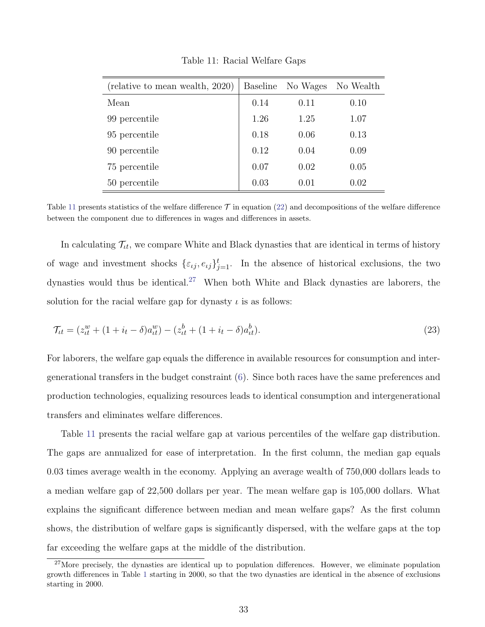<span id="page-35-0"></span>

| (relative to mean wealth, 2020) |      | Baseline No Wages | No Wealth |
|---------------------------------|------|-------------------|-----------|
| Mean                            | 0.14 | 0.11              | 0.10      |
| 99 percentile                   | 1.26 | 1.25              | 1.07      |
| 95 percentile                   | 0.18 | 0.06              | 0.13      |
| 90 percentile                   | 0.12 | 0.04              | 0.09      |
| 75 percentile                   | 0.07 | 0.02              | 0.05      |
| 50 percentile                   | 0.03 | 0.01              | 0.02      |

Table 11: Racial Welfare Gaps

Table [11](#page-35-0) presents statistics of the welfare difference  $\mathcal T$  in equation [\(22\)](#page-34-1) and decompositions of the welfare difference between the component due to differences in wages and differences in assets.

In calculating  $\mathcal{T}_{tt}$ , we compare White and Black dynasties that are identical in terms of history of wage and investment shocks  $\{\varepsilon_{ij}, e_{ij}\}_{j=1}^t$ . In the absence of historical exclusions, the two dynasties would thus be identical.<sup>[27](#page-35-1)</sup> When both White and Black dynasties are laborers, the solution for the racial welfare gap for dynasty  $\iota$  is as follows:

$$
\mathcal{T}_{tt} = (z_{tt}^w + (1 + i_t - \delta)a_{tt}^w) - (z_{tt}^b + (1 + i_t - \delta)a_{tt}^b). \tag{23}
$$

For laborers, the welfare gap equals the difference in available resources for consumption and intergenerational transfers in the budget constraint [\(6\)](#page-13-1). Since both races have the same preferences and production technologies, equalizing resources leads to identical consumption and intergenerational transfers and eliminates welfare differences.

Table [11](#page-35-0) presents the racial welfare gap at various percentiles of the welfare gap distribution. The gaps are annualized for ease of interpretation. In the first column, the median gap equals 0.03 times average wealth in the economy. Applying an average wealth of 750,000 dollars leads to a median welfare gap of 22,500 dollars per year. The mean welfare gap is 105,000 dollars. What explains the significant difference between median and mean welfare gaps? As the first column shows, the distribution of welfare gaps is significantly dispersed, with the welfare gaps at the top far exceeding the welfare gaps at the middle of the distribution.

<span id="page-35-1"></span> $27$ More precisely, the dynasties are identical up to population differences. However, we eliminate population growth differences in Table [1](#page-22-0) starting in 2000, so that the two dynasties are identical in the absence of exclusions starting in 2000.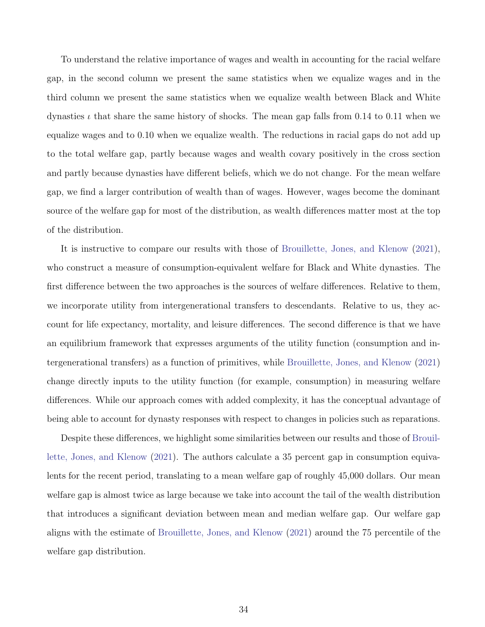To understand the relative importance of wages and wealth in accounting for the racial welfare gap, in the second column we present the same statistics when we equalize wages and in the third column we present the same statistics when we equalize wealth between Black and White dynasties  $\iota$  that share the same history of shocks. The mean gap falls from 0.14 to 0.11 when we equalize wages and to 0.10 when we equalize wealth. The reductions in racial gaps do not add up to the total welfare gap, partly because wages and wealth covary positively in the cross section and partly because dynasties have different beliefs, which we do not change. For the mean welfare gap, we find a larger contribution of wealth than of wages. However, wages become the dominant source of the welfare gap for most of the distribution, as wealth differences matter most at the top of the distribution.

It is instructive to compare our results with those of [Brouillette, Jones, and Klenow](#page-49-8) [\(2021\)](#page-49-8), who construct a measure of consumption-equivalent welfare for Black and White dynasties. The first difference between the two approaches is the sources of welfare differences. Relative to them, we incorporate utility from intergenerational transfers to descendants. Relative to us, they account for life expectancy, mortality, and leisure differences. The second difference is that we have an equilibrium framework that expresses arguments of the utility function (consumption and intergenerational transfers) as a function of primitives, while [Brouillette, Jones, and Klenow](#page-49-8) [\(2021\)](#page-49-8) change directly inputs to the utility function (for example, consumption) in measuring welfare differences. While our approach comes with added complexity, it has the conceptual advantage of being able to account for dynasty responses with respect to changes in policies such as reparations.

Despite these differences, we highlight some similarities between our results and those of [Brouil](#page-49-8)[lette, Jones, and Klenow](#page-49-8) [\(2021\)](#page-49-8). The authors calculate a 35 percent gap in consumption equivalents for the recent period, translating to a mean welfare gap of roughly 45,000 dollars. Our mean welfare gap is almost twice as large because we take into account the tail of the wealth distribution that introduces a significant deviation between mean and median welfare gap. Our welfare gap aligns with the estimate of [Brouillette, Jones, and Klenow](#page-49-8) [\(2021\)](#page-49-8) around the 75 percentile of the welfare gap distribution.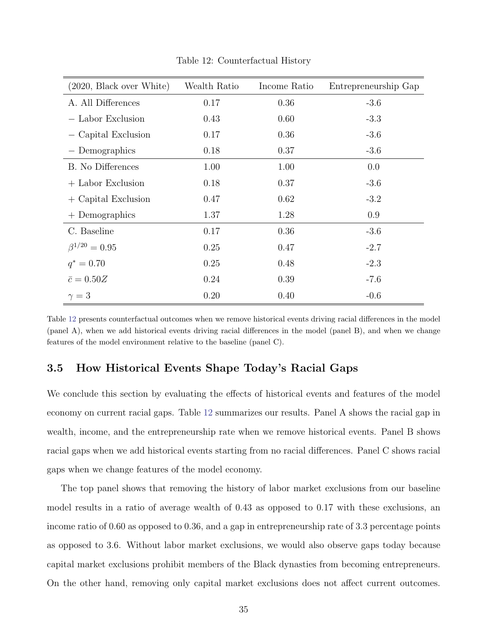<span id="page-37-0"></span>

| (2020, Black over White) | Wealth Ratio | Income Ratio | Entrepreneurship Gap |
|--------------------------|--------------|--------------|----------------------|
| A. All Differences       | 0.17         | 0.36         | $-3.6$               |
| - Labor Exclusion        | 0.43         | 0.60         | $-3.3$               |
| - Capital Exclusion      | 0.17         | 0.36         | $-3.6$               |
| - Demographics           | 0.18         | 0.37         | $-3.6$               |
| B. No Differences        | 1.00         | 1.00         | 0.0                  |
| + Labor Exclusion        | 0.18         | 0.37         | $-3.6$               |
| $+$ Capital Exclusion    | 0.47         | 0.62         | $-3.2$               |
| $+$ Demographics         | 1.37         | 1.28         | 0.9                  |
| C. Baseline              | 0.17         | 0.36         | $-3.6$               |
| $\beta^{1/20} = 0.95$    | 0.25         | 0.47         | $-2.7$               |
| $q^* = 0.70$             | 0.25         | 0.48         | $-2.3$               |
| $\bar{c} = 0.50Z$        | 0.24         | 0.39         | $-7.6$               |
| $\gamma=3$               | 0.20         | 0.40         | $-0.6$               |

Table 12: Counterfactual History

Table [12](#page-37-0) presents counterfactual outcomes when we remove historical events driving racial differences in the model (panel A), when we add historical events driving racial differences in the model (panel B), and when we change features of the model environment relative to the baseline (panel C).

## 3.5 How Historical Events Shape Today's Racial Gaps

We conclude this section by evaluating the effects of historical events and features of the model economy on current racial gaps. Table [12](#page-37-0) summarizes our results. Panel A shows the racial gap in wealth, income, and the entrepreneurship rate when we remove historical events. Panel B shows racial gaps when we add historical events starting from no racial differences. Panel C shows racial gaps when we change features of the model economy.

The top panel shows that removing the history of labor market exclusions from our baseline model results in a ratio of average wealth of 0.43 as opposed to 0.17 with these exclusions, an income ratio of 0.60 as opposed to 0.36, and a gap in entrepreneurship rate of 3.3 percentage points as opposed to 3.6. Without labor market exclusions, we would also observe gaps today because capital market exclusions prohibit members of the Black dynasties from becoming entrepreneurs. On the other hand, removing only capital market exclusions does not affect current outcomes.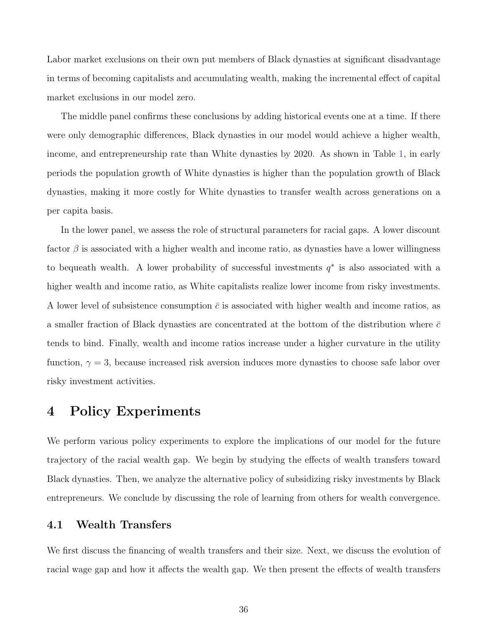Labor market exclusions on their own put members of Black dynasties at significant disadvantage in terms of becoming capitalists and accumulating wealth, making the incremental effect of capital market exclusions in our model zero.

The middle panel confirms these conclusions by adding historical events one at a time. If there were only demographic differences, Black dynasties in our model would achieve a higher wealth, income, and entrepreneurship rate than White dynasties by 2020. As shown in Table [1,](#page-22-0) in early periods the population growth of White dynasties is higher than the population growth of Black dynasties, making it more costly for White dynasties to transfer wealth across generations on a per capita basis.

In the lower panel, we assess the role of structural parameters for racial gaps. A lower discount factor  $\beta$  is associated with a higher wealth and income ratio, as dynasties have a lower willingness to bequeath wealth. A lower probability of successful investments  $q^*$  is also associated with a higher wealth and income ratio, as White capitalists realize lower income from risky investments. A lower level of subsistence consumption  $\bar{c}$  is associated with higher wealth and income ratios, as a smaller fraction of Black dynasties are concentrated at the bottom of the distribution where  $\bar{c}$ tends to bind. Finally, wealth and income ratios increase under a higher curvature in the utility function,  $\gamma = 3$ , because increased risk aversion induces more dynasties to choose safe labor over risky investment activities.

# 4 Policy Experiments

We perform various policy experiments to explore the implications of our model for the future trajectory of the racial wealth gap. We begin by studying the effects of wealth transfers toward Black dynasties. Then, we analyze the alternative policy of subsidizing risky investments by Black entrepreneurs. We conclude by discussing the role of learning from others for wealth convergence.

#### 4.1 Wealth Transfers

We first discuss the financing of wealth transfers and their size. Next, we discuss the evolution of racial wage gap and how it affects the wealth gap. We then present the effects of wealth transfers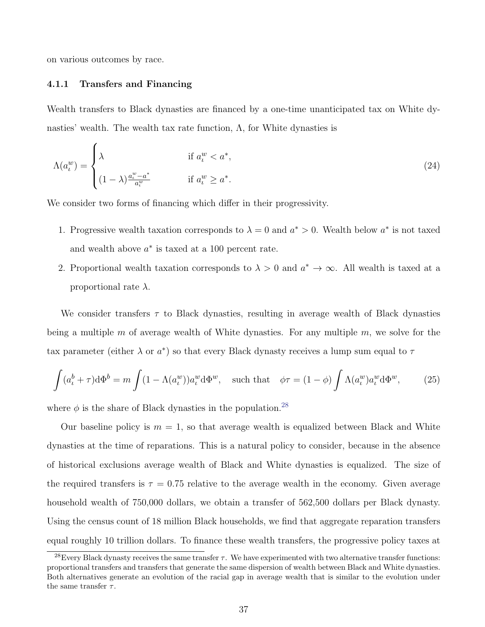on various outcomes by race.

#### 4.1.1 Transfers and Financing

Wealth transfers to Black dynasties are financed by a one-time unanticipated tax on White dynasties' wealth. The wealth tax rate function,  $\Lambda$ , for White dynasties is

$$
\Lambda(a_t^w) = \begin{cases}\n\lambda & \text{if } a_t^w < a^*, \\
(1 - \lambda) \frac{a_t^w - a^*}{a_t^w} & \text{if } a_t^w \ge a^*.\n\end{cases}
$$
\n
$$
(24)
$$

We consider two forms of financing which differ in their progressivity.

- 1. Progressive wealth taxation corresponds to  $\lambda = 0$  and  $a^* > 0$ . Wealth below  $a^*$  is not taxed and wealth above  $a^*$  is taxed at a 100 percent rate.
- 2. Proportional wealth taxation corresponds to  $\lambda > 0$  and  $a^* \to \infty$ . All wealth is taxed at a proportional rate  $\lambda$ .

We consider transfers  $\tau$  to Black dynasties, resulting in average wealth of Black dynasties being a multiple m of average wealth of White dynasties. For any multiple  $m$ , we solve for the tax parameter (either  $\lambda$  or  $a^*$ ) so that every Black dynasty receives a lump sum equal to  $\tau$ 

$$
\int (a_t^b + \tau) d\Phi^b = m \int (1 - \Lambda(a_t^w)) a_t^w d\Phi^w, \quad \text{such that} \quad \phi \tau = (1 - \phi) \int \Lambda(a_t^w) a_t^w d\Phi^w, \tag{25}
$$

where  $\phi$  is the share of Black dynasties in the population.<sup>[28](#page-39-0)</sup>

Our baseline policy is  $m = 1$ , so that average wealth is equalized between Black and White dynasties at the time of reparations. This is a natural policy to consider, because in the absence of historical exclusions average wealth of Black and White dynasties is equalized. The size of the required transfers is  $\tau = 0.75$  relative to the average wealth in the economy. Given average household wealth of 750,000 dollars, we obtain a transfer of 562,500 dollars per Black dynasty. Using the census count of 18 million Black households, we find that aggregate reparation transfers equal roughly 10 trillion dollars. To finance these wealth transfers, the progressive policy taxes at

<span id="page-39-0"></span><sup>&</sup>lt;sup>28</sup>Every Black dynasty receives the same transfer  $\tau$ . We have experimented with two alternative transfer functions: proportional transfers and transfers that generate the same dispersion of wealth between Black and White dynasties. Both alternatives generate an evolution of the racial gap in average wealth that is similar to the evolution under the same transfer  $\tau$ .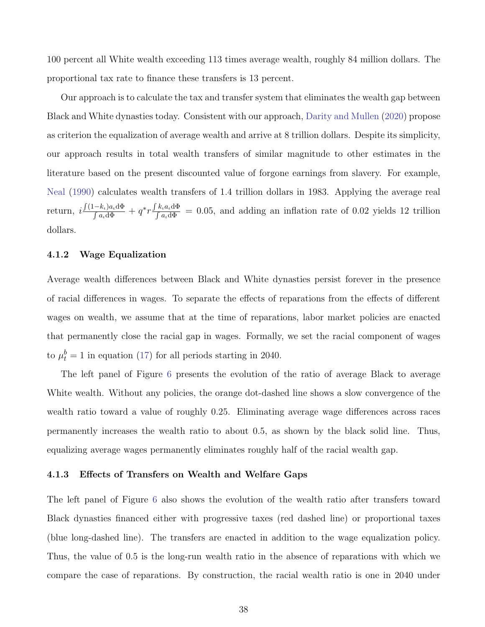100 percent all White wealth exceeding 113 times average wealth, roughly 84 million dollars. The proportional tax rate to finance these transfers is 13 percent.

Our approach is to calculate the tax and transfer system that eliminates the wealth gap between Black and White dynasties today. Consistent with our approach, [Darity and Mullen](#page-49-0) [\(2020\)](#page-49-0) propose as criterion the equalization of average wealth and arrive at 8 trillion dollars. Despite its simplicity, our approach results in total wealth transfers of similar magnitude to other estimates in the literature based on the present discounted value of forgone earnings from slavery. For example, [Neal](#page-51-12) [\(1990\)](#page-51-12) calculates wealth transfers of 1.4 trillion dollars in 1983. Applying the average real return,  $i\frac{\int (1-k_i)a_i d\Phi}{\int a \, d\Phi}$  $\frac{(-k_{\iota})a_{\iota}\mathrm{d}\Phi}{\int a_{\iota}\mathrm{d}\Phi} + q^*r\frac{\int k_{\iota}a_{\iota}\mathrm{d}\Phi}{\int a_{\iota}\mathrm{d}\Phi}$  $\frac{k_i a_i \Delta \Phi}{\int a_i \Delta \Phi}$  = 0.05, and adding an inflation rate of 0.02 yields 12 trillion dollars.

#### 4.1.2 Wage Equalization

Average wealth differences between Black and White dynasties persist forever in the presence of racial differences in wages. To separate the effects of reparations from the effects of different wages on wealth, we assume that at the time of reparations, labor market policies are enacted that permanently close the racial gap in wages. Formally, we set the racial component of wages to  $\mu_t^b = 1$  in equation [\(17\)](#page-23-4) for all periods starting in 2040.

The left panel of Figure [6](#page-41-0) presents the evolution of the ratio of average Black to average White wealth. Without any policies, the orange dot-dashed line shows a slow convergence of the wealth ratio toward a value of roughly 0.25. Eliminating average wage differences across races permanently increases the wealth ratio to about 0.5, as shown by the black solid line. Thus, equalizing average wages permanently eliminates roughly half of the racial wealth gap.

#### 4.1.3 Effects of Transfers on Wealth and Welfare Gaps

The left panel of Figure [6](#page-41-0) also shows the evolution of the wealth ratio after transfers toward Black dynasties financed either with progressive taxes (red dashed line) or proportional taxes (blue long-dashed line). The transfers are enacted in addition to the wage equalization policy. Thus, the value of 0.5 is the long-run wealth ratio in the absence of reparations with which we compare the case of reparations. By construction, the racial wealth ratio is one in 2040 under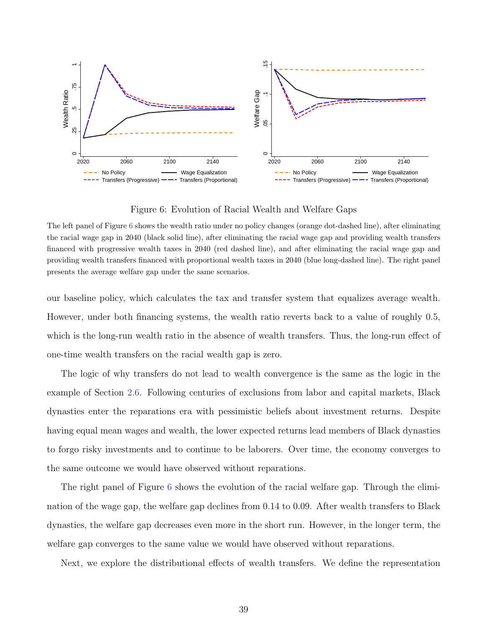<span id="page-41-0"></span>

Figure 6: Evolution of Racial Wealth and Welfare Gaps

The left panel of Figure [6](#page-41-0) shows the wealth ratio under no policy changes (orange dot-dashed line), after eliminating the racial wage gap in 2040 (black solid line), after eliminating the racial wage gap and providing wealth transfers financed with progressive wealth taxes in 2040 (red dashed line), and after eliminating the racial wage gap and providing wealth transfers financed with proportional wealth taxes in 2040 (blue long-dashed line). The right panel presents the average welfare gap under the same scenarios.

our baseline policy, which calculates the tax and transfer system that equalizes average wealth. However, under both financing systems, the wealth ratio reverts back to a value of roughly 0.5, which is the long-run wealth ratio in the absence of wealth transfers. Thus, the long-run effect of one-time wealth transfers on the racial wealth gap is zero.

The logic of why transfers do not lead to wealth convergence is the same as the logic in the example of Section [2.6.](#page-17-3) Following centuries of exclusions from labor and capital markets, Black dynasties enter the reparations era with pessimistic beliefs about investment returns. Despite having equal mean wages and wealth, the lower expected returns lead members of Black dynasties to forgo risky investments and to continue to be laborers. Over time, the economy converges to the same outcome we would have observed without reparations.

The right panel of Figure [6](#page-41-0) shows the evolution of the racial welfare gap. Through the elimination of the wage gap, the welfare gap declines from 0.14 to 0.09. After wealth transfers to Black dynasties, the welfare gap decreases even more in the short run. However, in the longer term, the welfare gap converges to the same value we would have observed without reparations.

Next, we explore the distributional effects of wealth transfers. We define the representation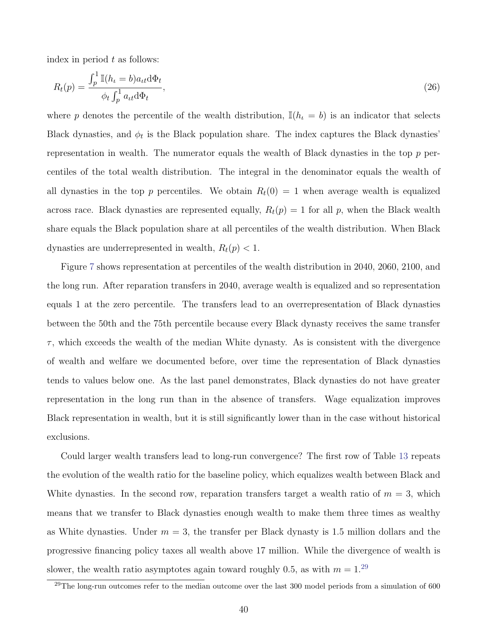index in period  $t$  as follows:

<span id="page-42-1"></span>
$$
R_t(p) = \frac{\int_p^1 \mathbb{I}(h_t = b) a_{tt} \mathrm{d}\Phi_t}{\phi_t \int_p^1 a_{tt} \mathrm{d}\Phi_t},\tag{26}
$$

where p denotes the percentile of the wealth distribution,  $\mathbb{I}(h_t = b)$  is an indicator that selects Black dynasties, and  $\phi_t$  is the Black population share. The index captures the Black dynasties' representation in wealth. The numerator equals the wealth of Black dynasties in the top  $p$  percentiles of the total wealth distribution. The integral in the denominator equals the wealth of all dynasties in the top p percentiles. We obtain  $R_t(0) = 1$  when average wealth is equalized across race. Black dynasties are represented equally,  $R_t(p) = 1$  for all p, when the Black wealth share equals the Black population share at all percentiles of the wealth distribution. When Black dynasties are underrepresented in wealth,  $R_t(p) < 1$ .

Figure [7](#page-43-0) shows representation at percentiles of the wealth distribution in 2040, 2060, 2100, and the long run. After reparation transfers in 2040, average wealth is equalized and so representation equals 1 at the zero percentile. The transfers lead to an overrepresentation of Black dynasties between the 50th and the 75th percentile because every Black dynasty receives the same transfer  $\tau$ , which exceeds the wealth of the median White dynasty. As is consistent with the divergence of wealth and welfare we documented before, over time the representation of Black dynasties tends to values below one. As the last panel demonstrates, Black dynasties do not have greater representation in the long run than in the absence of transfers. Wage equalization improves Black representation in wealth, but it is still significantly lower than in the case without historical exclusions.

Could larger wealth transfers lead to long-run convergence? The first row of Table [13](#page-44-0) repeats the evolution of the wealth ratio for the baseline policy, which equalizes wealth between Black and White dynasties. In the second row, reparation transfers target a wealth ratio of  $m = 3$ , which means that we transfer to Black dynasties enough wealth to make them three times as wealthy as White dynasties. Under  $m = 3$ , the transfer per Black dynasty is 1.5 million dollars and the progressive financing policy taxes all wealth above 17 million. While the divergence of wealth is slower, the wealth ratio asymptotes again toward roughly 0.5, as with  $m = 1.^{29}$  $m = 1.^{29}$  $m = 1.^{29}$ 

<span id="page-42-0"></span> $29$ The long-run outcomes refer to the median outcome over the last 300 model periods from a simulation of 600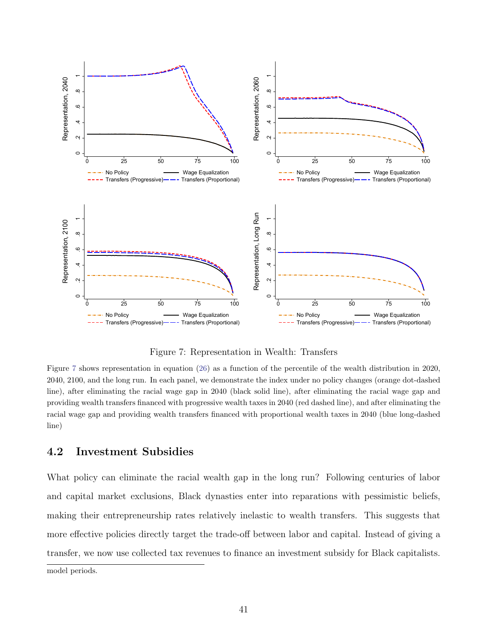<span id="page-43-0"></span>

Figure 7: Representation in Wealth: Transfers

Figure [7](#page-43-0) shows representation in equation [\(26\)](#page-42-1) as a function of the percentile of the wealth distribution in 2020, 2040, 2100, and the long run. In each panel, we demonstrate the index under no policy changes (orange dot-dashed line), after eliminating the racial wage gap in 2040 (black solid line), after eliminating the racial wage gap and providing wealth transfers financed with progressive wealth taxes in 2040 (red dashed line), and after eliminating the racial wage gap and providing wealth transfers financed with proportional wealth taxes in 2040 (blue long-dashed line)

### 4.2 Investment Subsidies

What policy can eliminate the racial wealth gap in the long run? Following centuries of labor and capital market exclusions, Black dynasties enter into reparations with pessimistic beliefs, making their entrepreneurship rates relatively inelastic to wealth transfers. This suggests that more effective policies directly target the trade-off between labor and capital. Instead of giving a transfer, we now use collected tax revenues to finance an investment subsidy for Black capitalists.

model periods.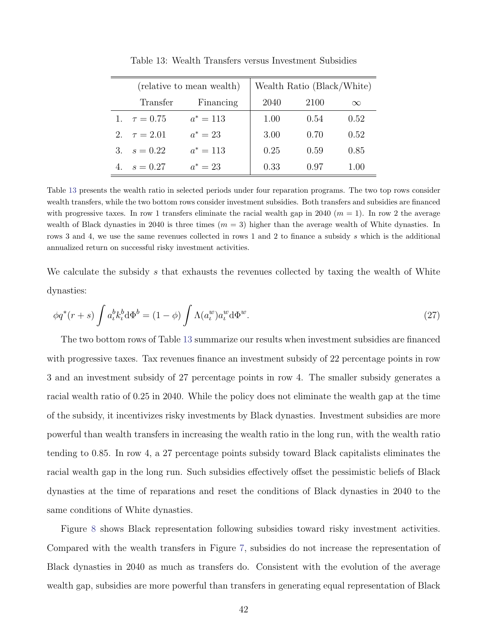<span id="page-44-0"></span>

|                  | (relative to mean wealth) | Wealth Ratio (Black/White) |      |          |
|------------------|---------------------------|----------------------------|------|----------|
| Transfer         | Financing                 | 2040                       | 2100 | $\infty$ |
| 1. $\tau = 0.75$ | $a^* = 113$               | 1.00                       | 0.54 | 0.52     |
| 2. $\tau = 2.01$ | $a^* = 23$                | 3.00                       | 0.70 | 0.52     |
| 3. $s = 0.22$    | $a^* = 113$               | 0.25                       | 0.59 | 0.85     |
| $s = 0.27$       | $a^* = 23$                | 0.33                       | 0.97 | 1.00     |

Table 13: Wealth Transfers versus Investment Subsidies

Table [13](#page-44-0) presents the wealth ratio in selected periods under four reparation programs. The two top rows consider wealth transfers, while the two bottom rows consider investment subsidies. Both transfers and subsidies are financed with progressive taxes. In row 1 transfers eliminate the racial wealth gap in 2040  $(m = 1)$ . In row 2 the average wealth of Black dynasties in 2040 is three times  $(m = 3)$  higher than the average wealth of White dynasties. In rows 3 and 4, we use the same revenues collected in rows 1 and 2 to finance a subsidy s which is the additional annualized return on successful risky investment activities.

We calculate the subsidy s that exhausts the revenues collected by taxing the wealth of White dynasties:

$$
\phi q^*(r+s) \int a_t^b k_t^b d\Phi^b = (1-\phi) \int \Lambda(a_t^w) a_t^w d\Phi^w.
$$
\n(27)

The two bottom rows of Table [13](#page-44-0) summarize our results when investment subsidies are financed with progressive taxes. Tax revenues finance an investment subsidy of 22 percentage points in row 3 and an investment subsidy of 27 percentage points in row 4. The smaller subsidy generates a racial wealth ratio of 0.25 in 2040. While the policy does not eliminate the wealth gap at the time of the subsidy, it incentivizes risky investments by Black dynasties. Investment subsidies are more powerful than wealth transfers in increasing the wealth ratio in the long run, with the wealth ratio tending to 0.85. In row 4, a 27 percentage points subsidy toward Black capitalists eliminates the racial wealth gap in the long run. Such subsidies effectively offset the pessimistic beliefs of Black dynasties at the time of reparations and reset the conditions of Black dynasties in 2040 to the same conditions of White dynasties.

Figure [8](#page-45-1) shows Black representation following subsidies toward risky investment activities. Compared with the wealth transfers in Figure [7,](#page-43-0) subsidies do not increase the representation of Black dynasties in 2040 as much as transfers do. Consistent with the evolution of the average wealth gap, subsidies are more powerful than transfers in generating equal representation of Black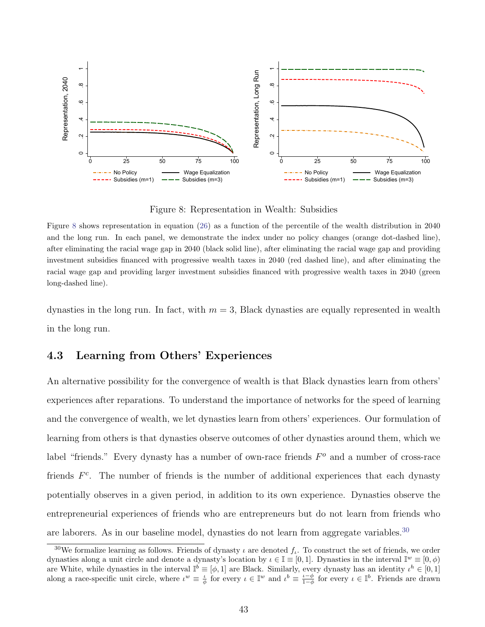<span id="page-45-1"></span>

Figure 8: Representation in Wealth: Subsidies

Figure [8](#page-45-1) shows representation in equation [\(26\)](#page-42-1) as a function of the percentile of the wealth distribution in 2040 and the long run. In each panel, we demonstrate the index under no policy changes (orange dot-dashed line), after eliminating the racial wage gap in 2040 (black solid line), after eliminating the racial wage gap and providing investment subsidies financed with progressive wealth taxes in 2040 (red dashed line), and after eliminating the racial wage gap and providing larger investment subsidies financed with progressive wealth taxes in 2040 (green long-dashed line).

dynasties in the long run. In fact, with  $m = 3$ , Black dynasties are equally represented in wealth in the long run.

## <span id="page-45-0"></span>4.3 Learning from Others' Experiences

An alternative possibility for the convergence of wealth is that Black dynasties learn from others' experiences after reparations. To understand the importance of networks for the speed of learning and the convergence of wealth, we let dynasties learn from others' experiences. Our formulation of learning from others is that dynasties observe outcomes of other dynasties around them, which we label "friends." Every dynasty has a number of own-race friends  $F<sup>o</sup>$  and a number of cross-race friends  $F<sup>c</sup>$ . The number of friends is the number of additional experiences that each dynasty potentially observes in a given period, in addition to its own experience. Dynasties observe the entrepreneurial experiences of friends who are entrepreneurs but do not learn from friends who are laborers. As in our baseline model, dynasties do not learn from aggregate variables.<sup>[30](#page-45-2)</sup>

<span id="page-45-2"></span><sup>&</sup>lt;sup>30</sup>We formalize learning as follows. Friends of dynasty  $\iota$  are denoted  $f_{\iota}$ . To construct the set of friends, we order dynasties along a unit circle and denote a dynasty's location by  $\iota \in \mathbb{I} \equiv [0,1]$ . Dynasties in the interval  $\mathbb{I}^w \equiv [0,\phi)$ are White, while dynasties in the interval  $\mathbb{I}^{\check{\theta}} \equiv [\phi, 1]$  are Black. Similarly, every dynasty has an identity  $\iota^h \in [0, 1]$ along a race-specific unit circle, where  $\iota^w \equiv \frac{\iota}{\phi}$  for every  $\iota \in \mathbb{I}^w$  and  $\iota^b \equiv \frac{\iota - \phi}{1 - \phi}$  for every  $\iota \in \mathbb{I}^b$ . Friends are drawn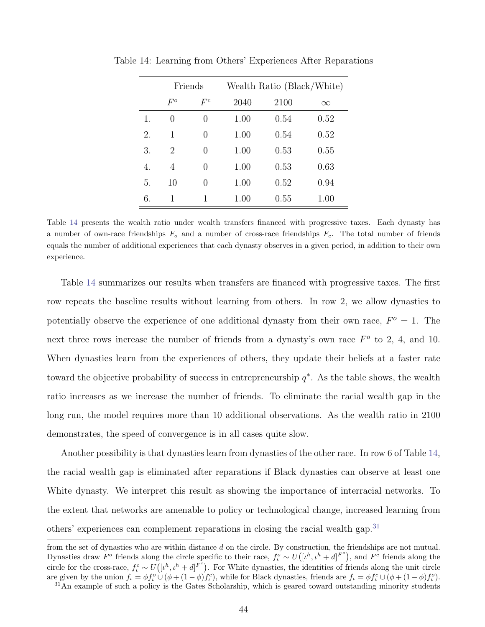|    | Friends |                  | Wealth Ratio (Black/White) |      |          |
|----|---------|------------------|----------------------------|------|----------|
|    | $F^o$   | $F^c$            | 2040                       | 2100 | $\infty$ |
| 1. | 0       | $\left( \right)$ | 1.00                       | 0.54 | 0.52     |
| 2. | 1       | 0                | 1.00                       | 0.54 | 0.52     |
| 3. | 2       | 0                | 1.00                       | 0.53 | 0.55     |
| 4. | 4       | 0                | 1.00                       | 0.53 | 0.63     |
| 5. | 10      | 0                | 1.00                       | 0.52 | 0.94     |
| 6. | 1       | 1                | 1.00                       | 0.55 | 1.00     |

<span id="page-46-0"></span>Table 14: Learning from Others' Experiences After Reparations

Table [14](#page-46-0) presents the wealth ratio under wealth transfers financed with progressive taxes. Each dynasty has a number of own-race friendships  $F_o$  and a number of cross-race friendships  $F_c$ . The total number of friends equals the number of additional experiences that each dynasty observes in a given period, in addition to their own experience.

Table [14](#page-46-0) summarizes our results when transfers are financed with progressive taxes. The first row repeats the baseline results without learning from others. In row 2, we allow dynasties to potentially observe the experience of one additional dynasty from their own race,  $F^{\circ} = 1$ . The next three rows increase the number of friends from a dynasty's own race  $F^o$  to 2, 4, and 10. When dynasties learn from the experiences of others, they update their beliefs at a faster rate toward the objective probability of success in entrepreneurship  $q^*$ . As the table shows, the wealth ratio increases as we increase the number of friends. To eliminate the racial wealth gap in the long run, the model requires more than 10 additional observations. As the wealth ratio in 2100 demonstrates, the speed of convergence is in all cases quite slow.

Another possibility is that dynasties learn from dynasties of the other race. In row 6 of Table [14,](#page-46-0) the racial wealth gap is eliminated after reparations if Black dynasties can observe at least one White dynasty. We interpret this result as showing the importance of interracial networks. To the extent that networks are amenable to policy or technological change, increased learning from others' experiences can complement reparations in closing the racial wealth gap.<sup>[31](#page-46-1)</sup>

from the set of dynasties who are within distance d on the circle. By construction, the friendships are not mutual. Dynasties draw  $F^o$  friends along the circle specific to their race,  $f^o_\iota \sim U([{\iota}^h, {\iota}^h + d]^{F^o})$ , and  $F^c$  friends along the circle for the cross-race,  $f_c^c \sim U([{\iota}^h, {\iota}^h + d]^{F^c})$ . For White dynasties, the identities of friends along the unit circle are given by the union  $f_{\iota} = \phi f_{\iota}^o \cup (\phi + (1 - \phi) f_{\iota}^c)$ , while for Black dynasties, friends are  $f_{\iota} = \phi f_{\iota}^c \cup (\phi + (1 - \phi) f_{\iota}^o)$ .

<span id="page-46-1"></span><sup>&</sup>lt;sup>31</sup>An example of such a policy is the Gates Scholarship, which is geared toward outstanding minority students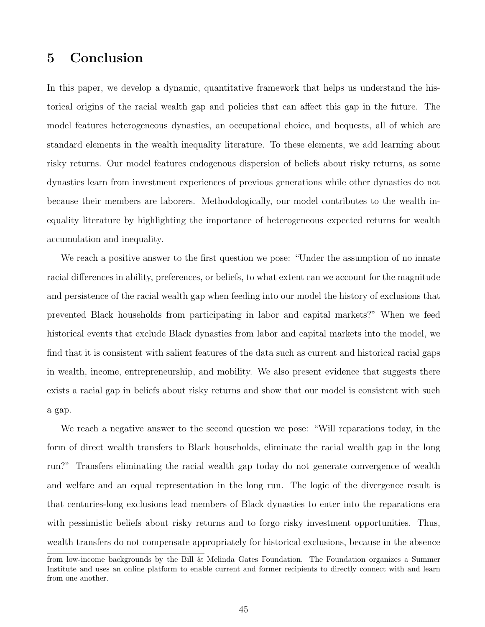# 5 Conclusion

In this paper, we develop a dynamic, quantitative framework that helps us understand the historical origins of the racial wealth gap and policies that can affect this gap in the future. The model features heterogeneous dynasties, an occupational choice, and bequests, all of which are standard elements in the wealth inequality literature. To these elements, we add learning about risky returns. Our model features endogenous dispersion of beliefs about risky returns, as some dynasties learn from investment experiences of previous generations while other dynasties do not because their members are laborers. Methodologically, our model contributes to the wealth inequality literature by highlighting the importance of heterogeneous expected returns for wealth accumulation and inequality.

We reach a positive answer to the first question we pose: "Under the assumption of no innate racial differences in ability, preferences, or beliefs, to what extent can we account for the magnitude and persistence of the racial wealth gap when feeding into our model the history of exclusions that prevented Black households from participating in labor and capital markets?" When we feed historical events that exclude Black dynasties from labor and capital markets into the model, we find that it is consistent with salient features of the data such as current and historical racial gaps in wealth, income, entrepreneurship, and mobility. We also present evidence that suggests there exists a racial gap in beliefs about risky returns and show that our model is consistent with such a gap.

We reach a negative answer to the second question we pose: "Will reparations today, in the form of direct wealth transfers to Black households, eliminate the racial wealth gap in the long run?" Transfers eliminating the racial wealth gap today do not generate convergence of wealth and welfare and an equal representation in the long run. The logic of the divergence result is that centuries-long exclusions lead members of Black dynasties to enter into the reparations era with pessimistic beliefs about risky returns and to forgo risky investment opportunities. Thus, wealth transfers do not compensate appropriately for historical exclusions, because in the absence

from low-income backgrounds by the Bill & Melinda Gates Foundation. The Foundation organizes a Summer Institute and uses an online platform to enable current and former recipients to directly connect with and learn from one another.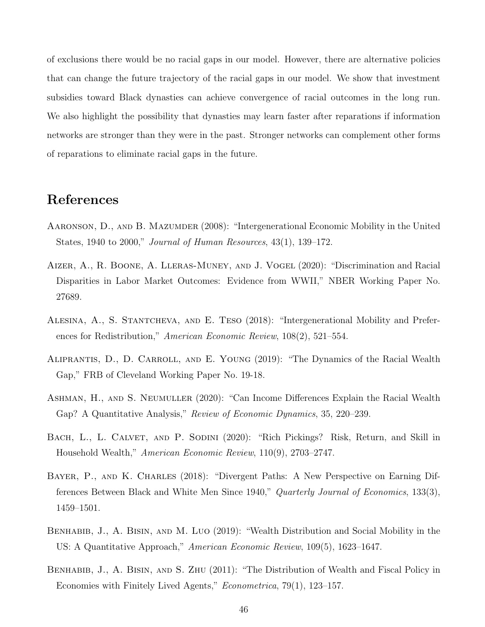of exclusions there would be no racial gaps in our model. However, there are alternative policies that can change the future trajectory of the racial gaps in our model. We show that investment subsidies toward Black dynasties can achieve convergence of racial outcomes in the long run. We also highlight the possibility that dynasties may learn faster after reparations if information networks are stronger than they were in the past. Stronger networks can complement other forms of reparations to eliminate racial gaps in the future.

# References

- <span id="page-48-6"></span>AARONSON, D., AND B. MAZUMDER (2008): "Intergenerational Economic Mobility in the United States, 1940 to 2000," Journal of Human Resources, 43(1), 139–172.
- <span id="page-48-7"></span>Aizer, A., R. Boone, A. Lleras-Muney, and J. Vogel (2020): "Discrimination and Racial Disparities in Labor Market Outcomes: Evidence from WWII," NBER Working Paper No. 27689.
- <span id="page-48-5"></span>Alesina, A., S. Stantcheva, and E. Teso (2018): "Intergenerational Mobility and Preferences for Redistribution," American Economic Review, 108(2), 521–554.
- <span id="page-48-3"></span>Aliprantis, D., D. Carroll, and E. Young (2019): "The Dynamics of the Racial Wealth Gap," FRB of Cleveland Working Paper No. 19-18.
- <span id="page-48-4"></span>Ashman, H., and S. Neumuller (2020): "Can Income Differences Explain the Racial Wealth Gap? A Quantitative Analysis," Review of Economic Dynamics, 35, 220–239.
- <span id="page-48-2"></span>BACH, L., L. CALVET, AND P. SODINI (2020): "Rich Pickings? Risk, Return, and Skill in Household Wealth," American Economic Review, 110(9), 2703–2747.
- <span id="page-48-8"></span>BAYER, P., AND K. CHARLES (2018): "Divergent Paths: A New Perspective on Earning Differences Between Black and White Men Since 1940," Quarterly Journal of Economics, 133(3), 1459–1501.
- <span id="page-48-1"></span>BENHABIB, J., A. BISIN, AND M. LUO (2019): "Wealth Distribution and Social Mobility in the US: A Quantitative Approach," American Economic Review, 109(5), 1623–1647.
- <span id="page-48-0"></span>BENHABIB, J., A. BISIN, AND S. ZHU (2011): "The Distribution of Wealth and Fiscal Policy in Economies with Finitely Lived Agents," Econometrica, 79(1), 123–157.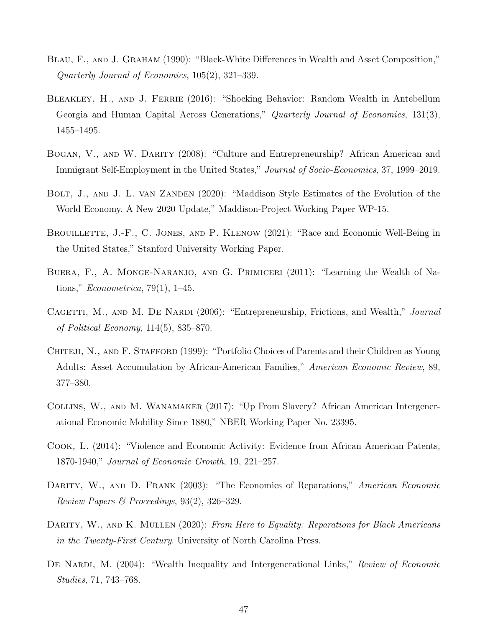- <span id="page-49-1"></span>BLAU, F., AND J. GRAHAM (1990): "Black-White Differences in Wealth and Asset Composition," Quarterly Journal of Economics, 105(2), 321–339.
- <span id="page-49-4"></span>BLEAKLEY, H., AND J. FERRIE (2016): "Shocking Behavior: Random Wealth in Antebellum Georgia and Human Capital Across Generations," Quarterly Journal of Economics, 131(3), 1455–1495.
- <span id="page-49-11"></span>BOGAN, V., AND W. DARITY (2008): "Culture and Entrepreneurship? African American and Immigrant Self-Employment in the United States," Journal of Socio-Economics, 37, 1999–2019.
- <span id="page-49-10"></span>BOLT, J., AND J. L. VAN ZANDEN (2020): "Maddison Style Estimates of the Evolution of the World Economy. A New 2020 Update," Maddison-Project Working Paper WP-15.
- <span id="page-49-8"></span>BROUILLETTE, J.-F., C. JONES, AND P. KLENOW (2021): "Race and Economic Well-Being in the United States," Stanford University Working Paper.
- <span id="page-49-5"></span>Buera, F., A. Monge-Naranjo, and G. Primiceri (2011): "Learning the Wealth of Nations," *Econometrica*, 79(1), 1–45.
- <span id="page-49-2"></span>CAGETTI, M., AND M. DE NARDI (2006): "Entrepreneurship, Frictions, and Wealth," Journal of Political Economy, 114(5), 835–870.
- <span id="page-49-12"></span>CHITEJI, N., AND F. STAFFORD (1999): "Portfolio Choices of Parents and their Children as Young Adults: Asset Accumulation by African-American Families," American Economic Review, 89, 377–380.
- <span id="page-49-7"></span>Collins, W., and M. Wanamaker (2017): "Up From Slavery? African American Intergenerational Economic Mobility Since 1880," NBER Working Paper No. 23395.
- <span id="page-49-9"></span>Cook, L. (2014): "Violence and Economic Activity: Evidence from African American Patents, 1870-1940," Journal of Economic Growth, 19, 221–257.
- <span id="page-49-6"></span>DARITY, W., AND D. FRANK (2003): "The Economics of Reparations," American Economic Review Papers & Proceedings,  $93(2)$ ,  $326-329$ .
- <span id="page-49-0"></span>DARITY, W., AND K. MULLEN (2020): From Here to Equality: Reparations for Black Americans in the Twenty-First Century. University of North Carolina Press.
- <span id="page-49-3"></span>DE NARDI, M. (2004): "Wealth Inequality and Intergenerational Links," Review of Economic Studies, 71, 743–768.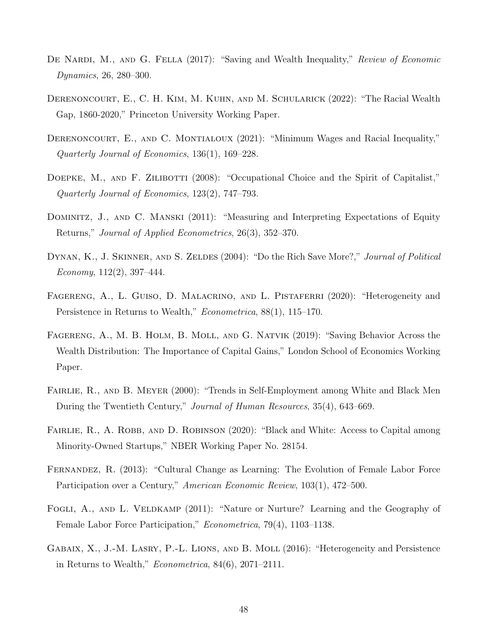- <span id="page-50-8"></span>DE NARDI, M., AND G. FELLA (2017): "Saving and Wealth Inequality," Review of Economic Dynamics, 26, 280–300.
- <span id="page-50-7"></span>DERENONCOURT, E., C. H. KIM, M. KUHN, AND M. SCHULARICK (2022): "The Racial Wealth Gap, 1860-2020," Princeton University Working Paper.
- <span id="page-50-10"></span>DERENONCOURT, E., AND C. MONTIALOUX (2021): "Minimum Wages and Racial Inequality," Quarterly Journal of Economics, 136(1), 169–228.
- <span id="page-50-6"></span>DOEPKE, M., AND F. ZILIBOTTI (2008): "Occupational Choice and the Spirit of Capitalist," Quarterly Journal of Economics, 123(2), 747–793.
- <span id="page-50-12"></span>DOMINITZ, J., AND C. MANSKI (2011): "Measuring and Interpreting Expectations of Equity Returns," Journal of Applied Econometrics, 26(3), 352–370.
- <span id="page-50-1"></span>DYNAN, K., J. SKINNER, AND S. ZELDES (2004): "Do the Rich Save More?," Journal of Political Economy,  $112(2)$ , 397–444.
- <span id="page-50-5"></span>FAGERENG, A., L. GUISO, D. MALACRINO, AND L. PISTAFERRI (2020): "Heterogeneity and Persistence in Returns to Wealth," Econometrica, 88(1), 115–170.
- <span id="page-50-2"></span>Fagereng, A., M. B. Holm, B. Moll, and G. Natvik (2019): "Saving Behavior Across the Wealth Distribution: The Importance of Capital Gains," London School of Economics Working Paper.
- <span id="page-50-11"></span>FAIRLIE, R., AND B. MEYER (2000): "Trends in Self-Employment among White and Black Men During the Twentieth Century," Journal of Human Resources, 35(4), 643–669.
- <span id="page-50-9"></span>FAIRLIE, R., A. ROBB, AND D. ROBINSON (2020): "Black and White: Access to Capital among Minority-Owned Startups," NBER Working Paper No. 28154.
- <span id="page-50-4"></span>Fernandez, R. (2013): "Cultural Change as Learning: The Evolution of Female Labor Force Participation over a Century," American Economic Review, 103(1), 472–500.
- <span id="page-50-3"></span>FOGLI, A., AND L. VELDKAMP (2011): "Nature or Nurture? Learning and the Geography of Female Labor Force Participation," Econometrica, 79(4), 1103–1138.
- <span id="page-50-0"></span>Gabaix, X., J.-M. Lasry, P.-L. Lions, and B. Moll (2016): "Heterogeneity and Persistence in Returns to Wealth," Econometrica, 84(6), 2071–2111.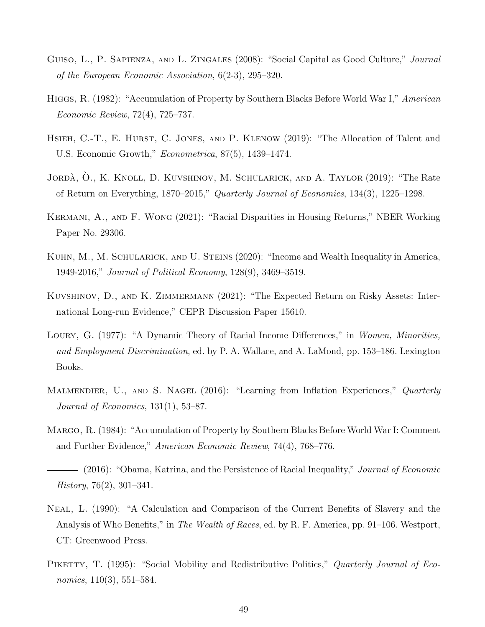- <span id="page-51-2"></span>GUISO, L., P. SAPIENZA, AND L. ZINGALES (2008): "Social Capital as Good Culture," *Journal* of the European Economic Association, 6(2-3), 295–320.
- <span id="page-51-5"></span>HIGGS, R. (1982): "Accumulation of Property by Southern Blacks Before World War I," American Economic Review, 72(4), 725–737.
- <span id="page-51-3"></span>HSIEH, C.-T., E. HURST, C. JONES, AND P. KLENOW (2019): "The Allocation of Talent and U.S. Economic Growth," Econometrica, 87(5), 1439–1474.
- <span id="page-51-10"></span>JORDÀ, O., K. KNOLL, D. KUVSHINOV, M. SCHULARICK, AND A. TAYLOR (2019): "The Rate of Return on Everything, 1870–2015," Quarterly Journal of Economics, 134(3), 1225–1298.
- <span id="page-51-9"></span>Kermani, A., and F. Wong (2021): "Racial Disparities in Housing Returns," NBER Working Paper No. 29306.
- <span id="page-51-11"></span>Kuhn, M., M. Schularick, and U. Steins (2020): "Income and Wealth Inequality in America, 1949-2016," Journal of Political Economy, 128(9), 3469–3519.
- <span id="page-51-0"></span>Kuvshinov, D., and K. Zimmermann (2021): "The Expected Return on Risky Assets: International Long-run Evidence," CEPR Discussion Paper 15610.
- <span id="page-51-8"></span>LOURY, G. (1977): "A Dynamic Theory of Racial Income Differences," in Women, Minorities, and Employment Discrimination, ed. by P. A. Wallace, and A. LaMond, pp. 153–186. Lexington Books.
- <span id="page-51-4"></span>MALMENDIER, U., AND S. NAGEL (2016): "Learning from Inflation Experiences," Quarterly Journal of Economics, 131(1), 53–87.
- <span id="page-51-6"></span>Margo, R. (1984): "Accumulation of Property by Southern Blacks Before World War I: Comment and Further Evidence," American Economic Review, 74(4), 768–776.
- <span id="page-51-7"></span>(2016): "Obama, Katrina, and the Persistence of Racial Inequality," *Journal of Economic* History, 76(2), 301–341.
- <span id="page-51-12"></span>Neal, L. (1990): "A Calculation and Comparison of the Current Benefits of Slavery and the Analysis of Who Benefits," in The Wealth of Races, ed. by R. F. America, pp. 91–106. Westport, CT: Greenwood Press.
- <span id="page-51-1"></span>PIKETTY, T. (1995): "Social Mobility and Redistributive Politics," Quarterly Journal of Economics,  $110(3)$ ,  $551-584$ .